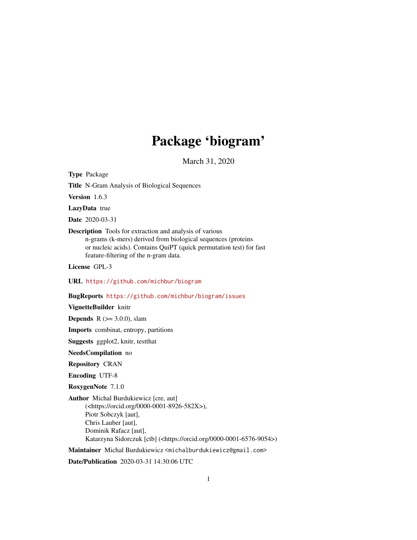# Package 'biogram'

March 31, 2020

<span id="page-0-0"></span>Type Package

Title N-Gram Analysis of Biological Sequences

Version 1.6.3

LazyData true

Date 2020-03-31

Description Tools for extraction and analysis of various n-grams (k-mers) derived from biological sequences (proteins or nucleic acids). Contains QuiPT (quick permutation test) for fast feature-filtering of the n-gram data.

License GPL-3

URL <https://github.com/michbur/biogram>

BugReports <https://github.com/michbur/biogram/issues>

## VignetteBuilder knitr

**Depends** R  $(>= 3.0.0)$ , slam

Imports combinat, entropy, partitions

Suggests ggplot2, knitr, testthat

NeedsCompilation no

Repository CRAN

Encoding UTF-8

RoxygenNote 7.1.0

Author Michal Burdukiewicz [cre, aut] (<https://orcid.org/0000-0001-8926-582X>), Piotr Sobczyk [aut], Chris Lauber [aut], Dominik Rafacz [aut], Katarzyna Sidorczuk [ctb] (<https://orcid.org/0000-0001-6576-9054>)

Maintainer Michal Burdukiewicz <michalburdukiewicz@gmail.com>

Date/Publication 2020-03-31 14:30:06 UTC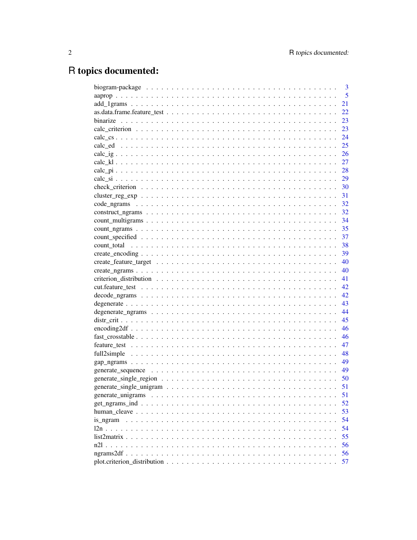# R topics documented:

|                   | 3    |
|-------------------|------|
|                   | 5    |
|                   | 21   |
|                   | 22   |
|                   | 23   |
|                   | 23   |
|                   | 24   |
|                   | 25   |
|                   | 26   |
|                   | 27   |
|                   |      |
|                   |      |
|                   |      |
|                   |      |
|                   |      |
|                   |      |
|                   |      |
|                   |      |
|                   | 37   |
|                   | 38   |
|                   | 39   |
|                   | 40   |
|                   | 40   |
|                   | 41   |
|                   | 42   |
|                   |      |
|                   | 43   |
|                   | 44   |
|                   | 45   |
|                   | 46   |
|                   | 46   |
|                   | 47   |
|                   | 48   |
|                   | 49   |
|                   | - 49 |
|                   | 50   |
|                   | 51   |
|                   | 51   |
|                   | 52   |
|                   | 53   |
|                   | 54   |
| is ngram<br>$12n$ | 54   |
|                   |      |
|                   | 55   |
| n <sub>21</sub>   | 56   |
|                   | 56   |
|                   | 57   |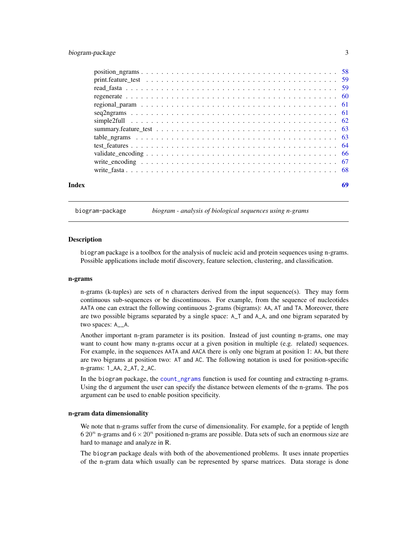# <span id="page-2-0"></span>biogram-package 3

| Index | 69 |
|-------|----|

biogram-package *biogram - analysis of biological sequences using n-grams*

## **Description**

biogram package is a toolbox for the analysis of nucleic acid and protein sequences using n-grams. Possible applications include motif discovery, feature selection, clustering, and classification.

#### n-grams

n-grams (k-tuples) are sets of n characters derived from the input sequence(s). They may form continuous sub-sequences or be discontinuous. For example, from the sequence of nucleotides AATA one can extract the following continuous 2-grams (bigrams): AA, AT and TA. Moreover, there are two possible bigrams separated by a single space: A\_T and A\_A, and one bigram separated by two spaces: A\_\_A.

Another important n-gram parameter is its position. Instead of just counting n-grams, one may want to count how many n-grams occur at a given position in multiple (e.g. related) sequences. For example, in the sequences AATA and AACA there is only one bigram at position 1: AA, but there are two bigrams at position two: AT and AC. The following notation is used for position-specific n-grams: 1\_AA, 2\_AT, 2\_AC.

In the biogram package, the [count\\_ngrams](#page-34-1) function is used for counting and extracting n-grams. Using the d argument the user can specify the distance between elements of the n-grams. The pos argument can be used to enable position specificity.

#### n-gram data dimensionality

We note that n-grams suffer from the curse of dimensionality. For example, for a peptide of length 6 20<sup>n</sup> n-grams and  $6 \times 20^n$  positioned n-grams are possible. Data sets of such an enormous size are hard to manage and analyze in R.

The biogram package deals with both of the abovementioned problems. It uses innate properties of the n-gram data which usually can be represented by sparse matrices. Data storage is done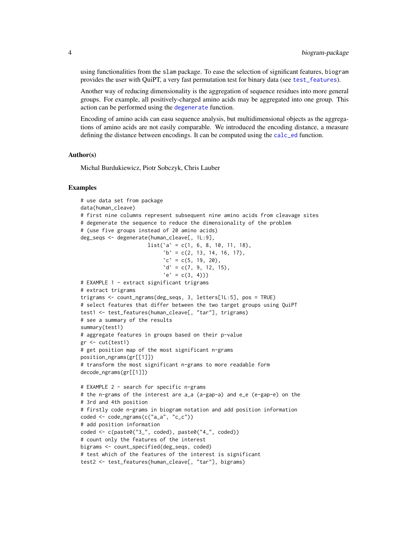using functionalities from the slam package. To ease the selection of significant features, biogram provides the user with QuiPT, a very fast permutation test for binary data (see [test\\_features](#page-63-1)).

Another way of reducing dimensionality is the aggregation of sequence residues into more general groups. For example, all positively-charged amino acids may be aggregated into one group. This action can be performed using the [degenerate](#page-42-1) function.

Encoding of amino acids can easu sequence analysis, but multidimensional objects as the aggregations of amino acids are not easily comparable. We introduced the encoding distance, a measure defining the distance between encodings. It can be computed using the [calc\\_ed](#page-24-1) function.

#### Author(s)

Michal Burdukiewicz, Piotr Sobczyk, Chris Lauber

```
# use data set from package
data(human_cleave)
# first nine columns represent subsequent nine amino acids from cleavage sites
# degenerate the sequence to reduce the dimensionality of the problem
# (use five groups instead of 20 amino acids)
deg_seqs <- degenerate(human_cleave[, 1L:9],
                      list('a' = c(1, 6, 8, 10, 11, 18),b' = c(2, 13, 14, 16, 17),\text{`c'} = \text{c}(5, 19, 20),'d' = c(7, 9, 12, 15),'e' = c(3, 4))# EXAMPLE 1 - extract significant trigrams
# extract trigrams
trigrams <- count_ngrams(deg_seqs, 3, letters[1L:5], pos = TRUE)
# select features that differ between the two target groups using QuiPT
test1 <- test_features(human_cleave[, "tar"], trigrams)
# see a summary of the results
summary(test1)
# aggregate features in groups based on their p-value
gr <- cut(test1)
# get position map of the most significant n-grams
position_ngrams(gr[[1]])
# transform the most significant n-grams to more readable form
decode_ngrams(gr[[1]])
# EXAMPLE 2 - search for specific n-grams
# the n-grams of the interest are a_a (a-gap-a) and e_e (e-gap-e) on the
# 3rd and 4th position
# firstly code n-grams in biogram notation and add position information
coded <- code_ngrams(c("a_a", "c_c"))
# add position information
coded <- c(paste0("3_", coded), paste0("4_", coded))
# count only the features of the interest
bigrams <- count_specified(deg_seqs, coded)
# test which of the features of the interest is significant
test2 <- test_features(human_cleave[, "tar"], bigrams)
```
<span id="page-3-0"></span>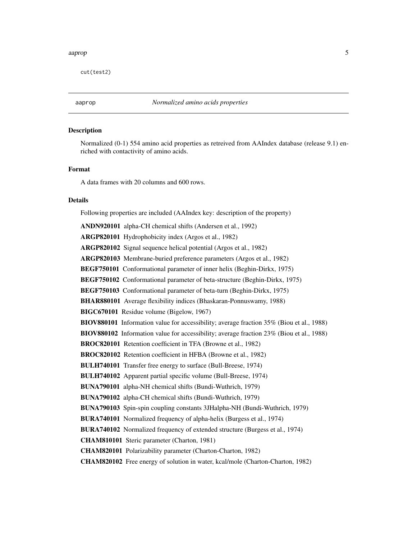#### <span id="page-4-0"></span>aaprop 5

cut(test2)

#### Description

Normalized (0-1) 554 amino acid properties as retreived from AAIndex database (release 9.1) enriched with contactivity of amino acids.

#### Format

A data frames with 20 columns and 600 rows.

#### Details

Following properties are included (AAIndex key: description of the property)

ANDN920101 alpha-CH chemical shifts (Andersen et al., 1992) ARGP820101 Hydrophobicity index (Argos et al., 1982) ARGP820102 Signal sequence helical potential (Argos et al., 1982) ARGP820103 Membrane-buried preference parameters (Argos et al., 1982) BEGF750101 Conformational parameter of inner helix (Beghin-Dirkx, 1975) BEGF750102 Conformational parameter of beta-structure (Beghin-Dirkx, 1975) BEGF750103 Conformational parameter of beta-turn (Beghin-Dirkx, 1975) BHAR880101 Average flexibility indices (Bhaskaran-Ponnuswamy, 1988) BIGC670101 Residue volume (Bigelow, 1967) BIOV880101 Information value for accessibility; average fraction 35% (Biou et al., 1988) BIOV880102 Information value for accessibility; average fraction 23% (Biou et al., 1988) BROC820101 Retention coefficient in TFA (Browne et al., 1982) BROC820102 Retention coefficient in HFBA (Browne et al., 1982) BULH740101 Transfer free energy to surface (Bull-Breese, 1974) BULH740102 Apparent partial specific volume (Bull-Breese, 1974) BUNA790101 alpha-NH chemical shifts (Bundi-Wuthrich, 1979) BUNA790102 alpha-CH chemical shifts (Bundi-Wuthrich, 1979) BUNA790103 Spin-spin coupling constants 3JHalpha-NH (Bundi-Wuthrich, 1979) BURA740101 Normalized frequency of alpha-helix (Burgess et al., 1974) BURA740102 Normalized frequency of extended structure (Burgess et al., 1974) CHAM810101 Steric parameter (Charton, 1981) CHAM820101 Polarizability parameter (Charton-Charton, 1982) CHAM820102 Free energy of solution in water, kcal/mole (Charton-Charton, 1982)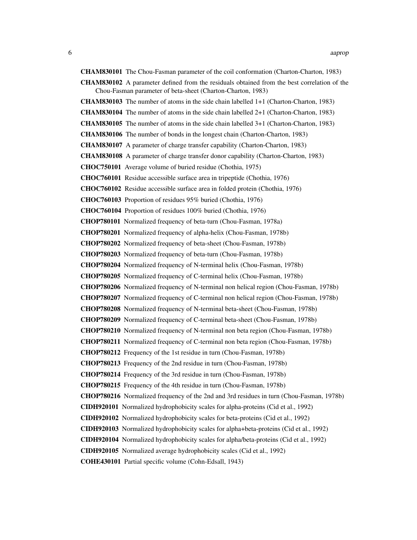CHAM830101 The Chou-Fasman parameter of the coil conformation (Charton-Charton, 1983) CHAM830102 A parameter defined from the residuals obtained from the best correlation of the Chou-Fasman parameter of beta-sheet (Charton-Charton, 1983) CHAM830103 The number of atoms in the side chain labelled 1+1 (Charton-Charton, 1983) CHAM830104 The number of atoms in the side chain labelled 2+1 (Charton-Charton, 1983) CHAM830105 The number of atoms in the side chain labelled 3+1 (Charton-Charton, 1983) CHAM830106 The number of bonds in the longest chain (Charton-Charton, 1983) CHAM830107 A parameter of charge transfer capability (Charton-Charton, 1983) CHAM830108 A parameter of charge transfer donor capability (Charton-Charton, 1983) CHOC750101 Average volume of buried residue (Chothia, 1975) CHOC760101 Residue accessible surface area in tripeptide (Chothia, 1976) CHOC760102 Residue accessible surface area in folded protein (Chothia, 1976) CHOC760103 Proportion of residues 95% buried (Chothia, 1976) CHOC760104 Proportion of residues 100% buried (Chothia, 1976) CHOP780101 Normalized frequency of beta-turn (Chou-Fasman, 1978a) CHOP780201 Normalized frequency of alpha-helix (Chou-Fasman, 1978b) CHOP780202 Normalized frequency of beta-sheet (Chou-Fasman, 1978b) CHOP780203 Normalized frequency of beta-turn (Chou-Fasman, 1978b) CHOP780204 Normalized frequency of N-terminal helix (Chou-Fasman, 1978b) CHOP780205 Normalized frequency of C-terminal helix (Chou-Fasman, 1978b) CHOP780206 Normalized frequency of N-terminal non helical region (Chou-Fasman, 1978b) CHOP780207 Normalized frequency of C-terminal non helical region (Chou-Fasman, 1978b) CHOP780208 Normalized frequency of N-terminal beta-sheet (Chou-Fasman, 1978b) CHOP780209 Normalized frequency of C-terminal beta-sheet (Chou-Fasman, 1978b) CHOP780210 Normalized frequency of N-terminal non beta region (Chou-Fasman, 1978b) CHOP780211 Normalized frequency of C-terminal non beta region (Chou-Fasman, 1978b) CHOP780212 Frequency of the 1st residue in turn (Chou-Fasman, 1978b) CHOP780213 Frequency of the 2nd residue in turn (Chou-Fasman, 1978b) CHOP780214 Frequency of the 3rd residue in turn (Chou-Fasman, 1978b) CHOP780215 Frequency of the 4th residue in turn (Chou-Fasman, 1978b) CHOP780216 Normalized frequency of the 2nd and 3rd residues in turn (Chou-Fasman, 1978b) CIDH920101 Normalized hydrophobicity scales for alpha-proteins (Cid et al., 1992) CIDH920102 Normalized hydrophobicity scales for beta-proteins (Cid et al., 1992) CIDH920103 Normalized hydrophobicity scales for alpha+beta-proteins (Cid et al., 1992) CIDH920104 Normalized hydrophobicity scales for alpha/beta-proteins (Cid et al., 1992) CIDH920105 Normalized average hydrophobicity scales (Cid et al., 1992) COHE430101 Partial specific volume (Cohn-Edsall, 1943)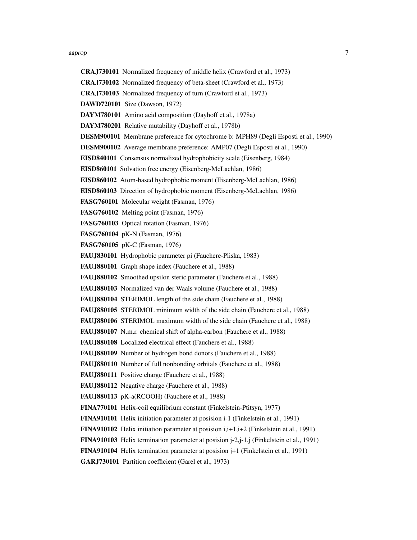#### aaprop 2008 - 2008 - 2008 - 2008 - 2008 - 2008 - 2008 - 2008 - 2008 - 2008 - 2008 - 2008 - 2008 - 2008 - 2008

- CRAJ730101 Normalized frequency of middle helix (Crawford et al., 1973)
- CRAJ730102 Normalized frequency of beta-sheet (Crawford et al., 1973)
- CRAJ730103 Normalized frequency of turn (Crawford et al., 1973)
- DAWD720101 Size (Dawson, 1972)
- DAYM780101 Amino acid composition (Dayhoff et al., 1978a)
- DAYM780201 Relative mutability (Dayhoff et al., 1978b)
- DESM900101 Membrane preference for cytochrome b: MPH89 (Degli Esposti et al., 1990)
- DESM900102 Average membrane preference: AMP07 (Degli Esposti et al., 1990)

EISD840101 Consensus normalized hydrophobicity scale (Eisenberg, 1984)

- EISD860101 Solvation free energy (Eisenberg-McLachlan, 1986)
- EISD860102 Atom-based hydrophobic moment (Eisenberg-McLachlan, 1986)
- EISD860103 Direction of hydrophobic moment (Eisenberg-McLachlan, 1986)
- FASG760101 Molecular weight (Fasman, 1976)
- FASG760102 Melting point (Fasman, 1976)
- FASG760103 Optical rotation (Fasman, 1976)
- FASG760104 pK-N (Fasman, 1976)
- FASG760105 pK-C (Fasman, 1976)
- FAUJ830101 Hydrophobic parameter pi (Fauchere-Pliska, 1983)
- FAUJ880101 Graph shape index (Fauchere et al., 1988)
- FAUJ880102 Smoothed upsilon steric parameter (Fauchere et al., 1988)
- FAUJ880103 Normalized van der Waals volume (Fauchere et al., 1988)
- FAUJ880104 STERIMOL length of the side chain (Fauchere et al., 1988)
- FAUJ880105 STERIMOL minimum width of the side chain (Fauchere et al., 1988)
- FAUJ880106 STERIMOL maximum width of the side chain (Fauchere et al., 1988)
- FAUJ880107 N.m.r. chemical shift of alpha-carbon (Fauchere et al., 1988)
- FAUJ880108 Localized electrical effect (Fauchere et al., 1988)
- FAUJ880109 Number of hydrogen bond donors (Fauchere et al., 1988)
- FAUJ880110 Number of full nonbonding orbitals (Fauchere et al., 1988)
- FAUJ880111 Positive charge (Fauchere et al., 1988)
- FAUJ880112 Negative charge (Fauchere et al., 1988)
- FAUJ880113 pK-a(RCOOH) (Fauchere et al., 1988)
- FINA770101 Helix-coil equilibrium constant (Finkelstein-Ptitsyn, 1977)
- FINA910101 Helix initiation parameter at posision i-1 (Finkelstein et al., 1991)
- **FINA910102** Helix initiation parameter at posision  $i, i+1, i+2$  (Finkelstein et al., 1991)
- **FINA910103** Helix termination parameter at posision  $j=2,j-1,j$  (Finkelstein et al., 1991)
- FINA910104 Helix termination parameter at posision j+1 (Finkelstein et al., 1991)
- GARJ730101 Partition coefficient (Garel et al., 1973)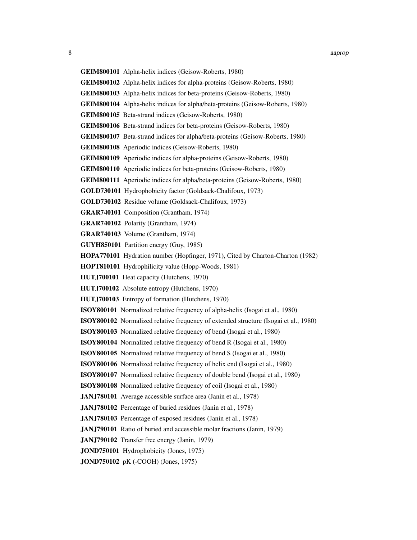- 
- GEIM800101 Alpha-helix indices (Geisow-Roberts, 1980)
- GEIM800102 Alpha-helix indices for alpha-proteins (Geisow-Roberts, 1980)
- GEIM800103 Alpha-helix indices for beta-proteins (Geisow-Roberts, 1980)
- GEIM800104 Alpha-helix indices for alpha/beta-proteins (Geisow-Roberts, 1980)
- GEIM800105 Beta-strand indices (Geisow-Roberts, 1980)
- GEIM800106 Beta-strand indices for beta-proteins (Geisow-Roberts, 1980)
- GEIM800107 Beta-strand indices for alpha/beta-proteins (Geisow-Roberts, 1980)
- GEIM800108 Aperiodic indices (Geisow-Roberts, 1980)
- GEIM800109 Aperiodic indices for alpha-proteins (Geisow-Roberts, 1980)
- GEIM800110 Aperiodic indices for beta-proteins (Geisow-Roberts, 1980)
- GEIM800111 Aperiodic indices for alpha/beta-proteins (Geisow-Roberts, 1980)
- GOLD730101 Hydrophobicity factor (Goldsack-Chalifoux, 1973)
- GOLD730102 Residue volume (Goldsack-Chalifoux, 1973)
- GRAR740101 Composition (Grantham, 1974)
- GRAR740102 Polarity (Grantham, 1974)
- GRAR740103 Volume (Grantham, 1974)
- GUYH850101 Partition energy (Guy, 1985)
- HOPA770101 Hydration number (Hopfinger, 1971), Cited by Charton-Charton (1982)
- HOPT810101 Hydrophilicity value (Hopp-Woods, 1981)
- HUTJ700101 Heat capacity (Hutchens, 1970)
- HUTJ700102 Absolute entropy (Hutchens, 1970)
- HUTJ700103 Entropy of formation (Hutchens, 1970)
- ISOY800101 Normalized relative frequency of alpha-helix (Isogai et al., 1980)
- ISOY800102 Normalized relative frequency of extended structure (Isogai et al., 1980)
- ISOY800103 Normalized relative frequency of bend (Isogai et al., 1980)
- ISOY800104 Normalized relative frequency of bend R (Isogai et al., 1980)
- ISOY800105 Normalized relative frequency of bend S (Isogai et al., 1980)
- ISOY800106 Normalized relative frequency of helix end (Isogai et al., 1980)
- ISOY800107 Normalized relative frequency of double bend (Isogai et al., 1980)
- ISOY800108 Normalized relative frequency of coil (Isogai et al., 1980)
- JANJ780101 Average accessible surface area (Janin et al., 1978)
- JANJ780102 Percentage of buried residues (Janin et al., 1978)
- JANJ780103 Percentage of exposed residues (Janin et al., 1978)
- JANJ790101 Ratio of buried and accessible molar fractions (Janin, 1979)
- JANJ790102 Transfer free energy (Janin, 1979)
- JOND750101 Hydrophobicity (Jones, 1975)
- JOND750102 pK (-COOH) (Jones, 1975)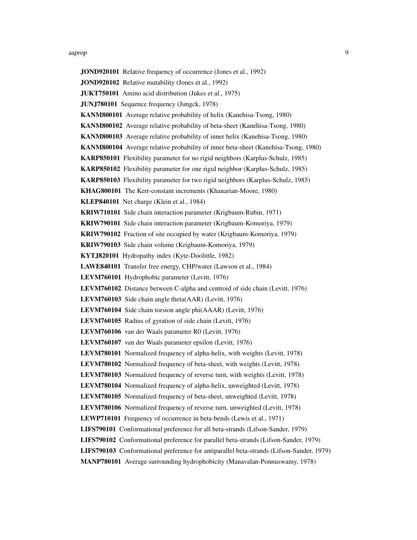#### aaprop 1999 – 1999 – 1999 – 1999 – 1999 – 1999 – 1999 – 1999 – 1999 – 1999 – 1999 – 1999 – 1999 – 1999 – 1999

JOND920101 Relative frequency of occurrence (Jones et al., 1992) JOND920102 Relative mutability (Jones et al., 1992) JUKT750101 Amino acid distribution (Jukes et al., 1975) JUNJ780101 Sequence frequency (Jungck, 1978) KANM800101 Average relative probability of helix (Kanehisa-Tsong, 1980) KANM800102 Average relative probability of beta-sheet (Kanehisa-Tsong, 1980) KANM800103 Average relative probability of inner helix (Kanehisa-Tsong, 1980) KANM800104 Average relative probability of inner beta-sheet (Kanehisa-Tsong, 1980) KARP850101 Flexibility parameter for no rigid neighbors (Karplus-Schulz, 1985) KARP850102 Flexibility parameter for one rigid neighbor (Karplus-Schulz, 1985) KARP850103 Flexibility parameter for two rigid neighbors (Karplus-Schulz, 1985) KHAG800101 The Kerr-constant increments (Khanarian-Moore, 1980) KLEP840101 Net charge (Klein et al., 1984) KRIW710101 Side chain interaction parameter (Krigbaum-Rubin, 1971) KRIW790101 Side chain interaction parameter (Krigbaum-Komoriya, 1979) KRIW790102 Fraction of site occupied by water (Krigbaum-Komoriya, 1979) KRIW790103 Side chain volume (Krigbaum-Komoriya, 1979) KYTJ820101 Hydropathy index (Kyte-Doolittle, 1982) LAWE840101 Transfer free energy, CHP/water (Lawson et al., 1984) LEVM760101 Hydrophobic parameter (Levitt, 1976) LEVM760102 Distance between C-alpha and centroid of side chain (Levitt, 1976) LEVM760103 Side chain angle theta(AAR) (Levitt, 1976) LEVM760104 Side chain torsion angle phi(AAAR) (Levitt, 1976) LEVM760105 Radius of gyration of side chain (Levitt, 1976) LEVM760106 van der Waals parameter R0 (Levitt, 1976) LEVM760107 van der Waals parameter epsilon (Levitt, 1976) LEVM780101 Normalized frequency of alpha-helix, with weights (Levitt, 1978) LEVM780102 Normalized frequency of beta-sheet, with weights (Levitt, 1978) LEVM780103 Normalized frequency of reverse turn, with weights (Levitt, 1978) LEVM780104 Normalized frequency of alpha-helix, unweighted (Levitt, 1978) LEVM780105 Normalized frequency of beta-sheet, unweighted (Levitt, 1978) LEVM780106 Normalized frequency of reverse turn, unweighted (Levitt, 1978) LEWP710101 Frequency of occurrence in beta-bends (Lewis et al., 1971) LIFS790101 Conformational preference for all beta-strands (Lifson-Sander, 1979) LIFS790102 Conformational preference for parallel beta-strands (Lifson-Sander, 1979) LIFS790103 Conformational preference for antiparallel beta-strands (Lifson-Sander, 1979) MANP780101 Average surrounding hydrophobicity (Manavalan-Ponnuswamy, 1978)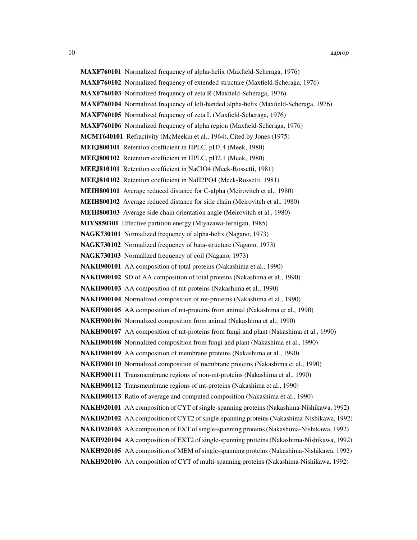MAXF760101 Normalized frequency of alpha-helix (Maxfield-Scheraga, 1976) MAXF760102 Normalized frequency of extended structure (Maxfield-Scheraga, 1976) MAXF760103 Normalized frequency of zeta R (Maxfield-Scheraga, 1976) MAXF760104 Normalized frequency of left-handed alpha-helix (Maxfield-Scheraga, 1976) MAXF760105 Normalized frequency of zeta L (Maxfield-Scheraga, 1976) MAXF760106 Normalized frequency of alpha region (Maxfield-Scheraga, 1976) MCMT640101 Refractivity (McMeekin et al., 1964), Cited by Jones (1975) MEEJ800101 Retention coefficient in HPLC, pH7.4 (Meek, 1980) MEEJ800102 Retention coefficient in HPLC, pH2.1 (Meek, 1980) MEEJ810101 Retention coefficient in NaClO4 (Meek-Rossetti, 1981) MEEJ810102 Retention coefficient in NaH2PO4 (Meek-Rossetti, 1981) MEIH800101 Average reduced distance for C-alpha (Meirovitch et al., 1980) MEIH800102 Average reduced distance for side chain (Meirovitch et al., 1980) MEIH800103 Average side chain orientation angle (Meirovitch et al., 1980) MIYS850101 Effective partition energy (Miyazawa-Jernigan, 1985) NAGK730101 Normalized frequency of alpha-helix (Nagano, 1973) NAGK730102 Normalized frequency of bata-structure (Nagano, 1973) NAGK730103 Normalized frequency of coil (Nagano, 1973) NAKH900101 AA composition of total proteins (Nakashima et al., 1990) NAKH900102 SD of AA composition of total proteins (Nakashima et al., 1990) NAKH900103 AA composition of mt-proteins (Nakashima et al., 1990) NAKH900104 Normalized composition of mt-proteins (Nakashima et al., 1990) NAKH900105 AA composition of mt-proteins from animal (Nakashima et al., 1990) NAKH900106 Normalized composition from animal (Nakashima et al., 1990) NAKH900107 AA composition of mt-proteins from fungi and plant (Nakashima et al., 1990) NAKH900108 Normalized composition from fungi and plant (Nakashima et al., 1990) NAKH900109 AA composition of membrane proteins (Nakashima et al., 1990) NAKH900110 Normalized composition of membrane proteins (Nakashima et al., 1990) NAKH900111 Transmembrane regions of non-mt-proteins (Nakashima et al., 1990) NAKH900112 Transmembrane regions of mt-proteins (Nakashima et al., 1990) NAKH900113 Ratio of average and computed composition (Nakashima et al., 1990) NAKH920101 AA composition of CYT of single-spanning proteins (Nakashima-Nishikawa, 1992) NAKH920102 AA composition of CYT2 of single-spanning proteins (Nakashima-Nishikawa, 1992) NAKH920103 AA composition of EXT of single-spanning proteins (Nakashima-Nishikawa, 1992) NAKH920104 AA composition of EXT2 of single-spanning proteins (Nakashima-Nishikawa, 1992) NAKH920105 AA composition of MEM of single-spanning proteins (Nakashima-Nishikawa, 1992) NAKH920106 AA composition of CYT of multi-spanning proteins (Nakashima-Nishikawa, 1992)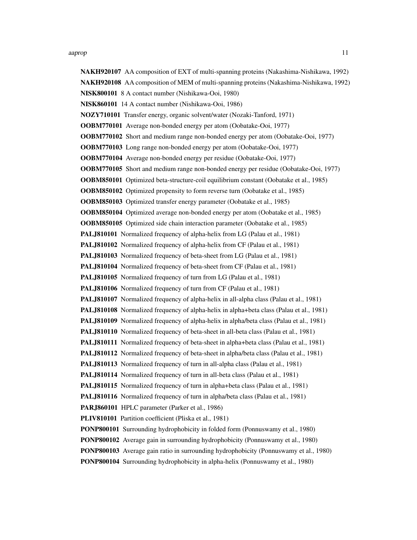NAKH920107 AA composition of EXT of multi-spanning proteins (Nakashima-Nishikawa, 1992) NAKH920108 AA composition of MEM of multi-spanning proteins (Nakashima-Nishikawa, 1992) NISK800101 8 A contact number (Nishikawa-Ooi, 1980) NISK860101 14 A contact number (Nishikawa-Ooi, 1986) NOZY710101 Transfer energy, organic solvent/water (Nozaki-Tanford, 1971) OOBM770101 Average non-bonded energy per atom (Oobatake-Ooi, 1977) OOBM770102 Short and medium range non-bonded energy per atom (Oobatake-Ooi, 1977) OOBM770103 Long range non-bonded energy per atom (Oobatake-Ooi, 1977) OOBM770104 Average non-bonded energy per residue (Oobatake-Ooi, 1977) OOBM770105 Short and medium range non-bonded energy per residue (Oobatake-Ooi, 1977) OOBM850101 Optimized beta-structure-coil equilibrium constant (Oobatake et al., 1985) OOBM850102 Optimized propensity to form reverse turn (Oobatake et al., 1985) OOBM850103 Optimized transfer energy parameter (Oobatake et al., 1985) OOBM850104 Optimized average non-bonded energy per atom (Oobatake et al., 1985) OOBM850105 Optimized side chain interaction parameter (Oobatake et al., 1985) PALJ810101 Normalized frequency of alpha-helix from LG (Palau et al., 1981) PALJ810102 Normalized frequency of alpha-helix from CF (Palau et al., 1981) PALJ810103 Normalized frequency of beta-sheet from LG (Palau et al., 1981) PALJ810104 Normalized frequency of beta-sheet from CF (Palau et al., 1981) PALJ810105 Normalized frequency of turn from LG (Palau et al., 1981) PALJ810106 Normalized frequency of turn from CF (Palau et al., 1981) PALJ810107 Normalized frequency of alpha-helix in all-alpha class (Palau et al., 1981) PALJ810108 Normalized frequency of alpha-helix in alpha+beta class (Palau et al., 1981) PALJ810109 Normalized frequency of alpha-helix in alpha/beta class (Palau et al., 1981) PALJ810110 Normalized frequency of beta-sheet in all-beta class (Palau et al., 1981) PALJ810111 Normalized frequency of beta-sheet in alpha+beta class (Palau et al., 1981) PALJ810112 Normalized frequency of beta-sheet in alpha/beta class (Palau et al., 1981) PALJ810113 Normalized frequency of turn in all-alpha class (Palau et al., 1981) PALJ810114 Normalized frequency of turn in all-beta class (Palau et al., 1981) PALJ810115 Normalized frequency of turn in alpha+beta class (Palau et al., 1981) PALJ810116 Normalized frequency of turn in alpha/beta class (Palau et al., 1981) PARJ860101 HPLC parameter (Parker et al., 1986) PLIV810101 Partition coefficient (Pliska et al., 1981) PONP800101 Surrounding hydrophobicity in folded form (Ponnuswamy et al., 1980) PONP800102 Average gain in surrounding hydrophobicity (Ponnuswamy et al., 1980) PONP800103 Average gain ratio in surrounding hydrophobicity (Ponnuswamy et al., 1980) PONP800104 Surrounding hydrophobicity in alpha-helix (Ponnuswamy et al., 1980)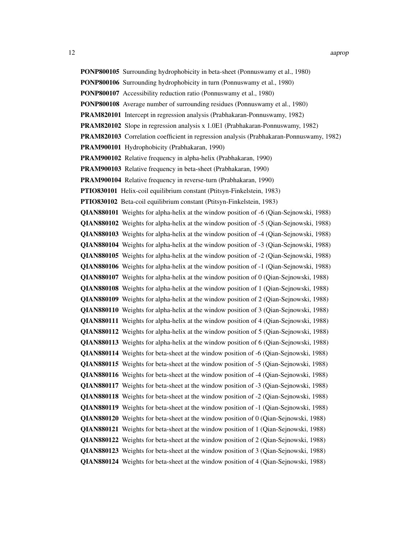PONP800105 Surrounding hydrophobicity in beta-sheet (Ponnuswamy et al., 1980) PONP800106 Surrounding hydrophobicity in turn (Ponnuswamy et al., 1980) PONP800107 Accessibility reduction ratio (Ponnuswamy et al., 1980) PONP800108 Average number of surrounding residues (Ponnuswamy et al., 1980) PRAM820101 Intercept in regression analysis (Prabhakaran-Ponnuswamy, 1982) PRAM820102 Slope in regression analysis x 1.0E1 (Prabhakaran-Ponnuswamy, 1982) PRAM820103 Correlation coefficient in regression analysis (Prabhakaran-Ponnuswamy, 1982) PRAM900101 Hydrophobicity (Prabhakaran, 1990) PRAM900102 Relative frequency in alpha-helix (Prabhakaran, 1990) PRAM900103 Relative frequency in beta-sheet (Prabhakaran, 1990) PRAM900104 Relative frequency in reverse-turn (Prabhakaran, 1990) PTIO830101 Helix-coil equilibrium constant (Ptitsyn-Finkelstein, 1983) PTIO830102 Beta-coil equilibrium constant (Ptitsyn-Finkelstein, 1983) QIAN880101 Weights for alpha-helix at the window position of -6 (Qian-Sejnowski, 1988) QIAN880102 Weights for alpha-helix at the window position of -5 (Qian-Sejnowski, 1988) QIAN880103 Weights for alpha-helix at the window position of -4 (Qian-Sejnowski, 1988) QIAN880104 Weights for alpha-helix at the window position of -3 (Qian-Sejnowski, 1988) QIAN880105 Weights for alpha-helix at the window position of -2 (Qian-Sejnowski, 1988) QIAN880106 Weights for alpha-helix at the window position of -1 (Qian-Sejnowski, 1988) QIAN880107 Weights for alpha-helix at the window position of 0 (Qian-Sejnowski, 1988) QIAN880108 Weights for alpha-helix at the window position of 1 (Qian-Sejnowski, 1988) QIAN880109 Weights for alpha-helix at the window position of 2 (Qian-Sejnowski, 1988) QIAN880110 Weights for alpha-helix at the window position of 3 (Qian-Sejnowski, 1988) QIAN880111 Weights for alpha-helix at the window position of 4 (Qian-Sejnowski, 1988) QIAN880112 Weights for alpha-helix at the window position of 5 (Qian-Sejnowski, 1988) QIAN880113 Weights for alpha-helix at the window position of 6 (Qian-Sejnowski, 1988) QIAN880114 Weights for beta-sheet at the window position of -6 (Qian-Sejnowski, 1988) QIAN880115 Weights for beta-sheet at the window position of -5 (Qian-Sejnowski, 1988) QIAN880116 Weights for beta-sheet at the window position of -4 (Qian-Sejnowski, 1988) QIAN880117 Weights for beta-sheet at the window position of -3 (Qian-Sejnowski, 1988) QIAN880118 Weights for beta-sheet at the window position of -2 (Qian-Sejnowski, 1988) QIAN880119 Weights for beta-sheet at the window position of -1 (Qian-Sejnowski, 1988) QIAN880120 Weights for beta-sheet at the window position of 0 (Qian-Sejnowski, 1988) QIAN880121 Weights for beta-sheet at the window position of 1 (Qian-Sejnowski, 1988) QIAN880122 Weights for beta-sheet at the window position of 2 (Qian-Sejnowski, 1988) QIAN880123 Weights for beta-sheet at the window position of 3 (Qian-Sejnowski, 1988) QIAN880124 Weights for beta-sheet at the window position of 4 (Qian-Sejnowski, 1988)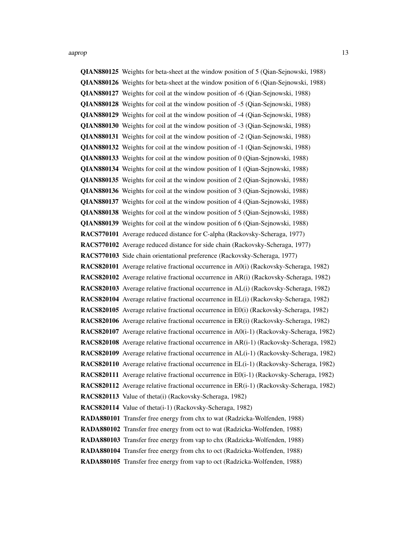QIAN880125 Weights for beta-sheet at the window position of 5 (Qian-Sejnowski, 1988) QIAN880126 Weights for beta-sheet at the window position of 6 (Qian-Sejnowski, 1988) QIAN880127 Weights for coil at the window position of -6 (Qian-Sejnowski, 1988) QIAN880128 Weights for coil at the window position of -5 (Qian-Sejnowski, 1988) QIAN880129 Weights for coil at the window position of -4 (Qian-Sejnowski, 1988) QIAN880130 Weights for coil at the window position of -3 (Qian-Sejnowski, 1988) QIAN880131 Weights for coil at the window position of -2 (Qian-Sejnowski, 1988) QIAN880132 Weights for coil at the window position of -1 (Qian-Sejnowski, 1988) QIAN880133 Weights for coil at the window position of 0 (Qian-Sejnowski, 1988) QIAN880134 Weights for coil at the window position of 1 (Qian-Sejnowski, 1988) QIAN880135 Weights for coil at the window position of 2 (Qian-Sejnowski, 1988) QIAN880136 Weights for coil at the window position of 3 (Qian-Sejnowski, 1988) QIAN880137 Weights for coil at the window position of 4 (Qian-Sejnowski, 1988) QIAN880138 Weights for coil at the window position of 5 (Qian-Sejnowski, 1988) QIAN880139 Weights for coil at the window position of 6 (Qian-Sejnowski, 1988) RACS770101 Average reduced distance for C-alpha (Rackovsky-Scheraga, 1977) RACS770102 Average reduced distance for side chain (Rackovsky-Scheraga, 1977) RACS770103 Side chain orientational preference (Rackovsky-Scheraga, 1977) RACS820101 Average relative fractional occurrence in A0(i) (Rackovsky-Scheraga, 1982) RACS820102 Average relative fractional occurrence in AR(i) (Rackovsky-Scheraga, 1982) RACS820103 Average relative fractional occurrence in AL(i) (Rackovsky-Scheraga, 1982) RACS820104 Average relative fractional occurrence in EL(i) (Rackovsky-Scheraga, 1982) RACS820105 Average relative fractional occurrence in E0(i) (Rackovsky-Scheraga, 1982) RACS820106 Average relative fractional occurrence in ER(i) (Rackovsky-Scheraga, 1982) RACS820107 Average relative fractional occurrence in A0(i-1) (Rackovsky-Scheraga, 1982) RACS820108 Average relative fractional occurrence in AR(i-1) (Rackovsky-Scheraga, 1982) RACS820109 Average relative fractional occurrence in AL(i-1) (Rackovsky-Scheraga, 1982) RACS820110 Average relative fractional occurrence in EL(i-1) (Rackovsky-Scheraga, 1982) RACS820111 Average relative fractional occurrence in E0(i-1) (Rackovsky-Scheraga, 1982) RACS820112 Average relative fractional occurrence in ER(i-1) (Rackovsky-Scheraga, 1982) RACS820113 Value of theta(i) (Rackovsky-Scheraga, 1982) RACS820114 Value of theta(i-1) (Rackovsky-Scheraga, 1982) RADA880101 Transfer free energy from chx to wat (Radzicka-Wolfenden, 1988) RADA880102 Transfer free energy from oct to wat (Radzicka-Wolfenden, 1988) RADA880103 Transfer free energy from vap to chx (Radzicka-Wolfenden, 1988) RADA880104 Transfer free energy from chx to oct (Radzicka-Wolfenden, 1988)

RADA880105 Transfer free energy from vap to oct (Radzicka-Wolfenden, 1988)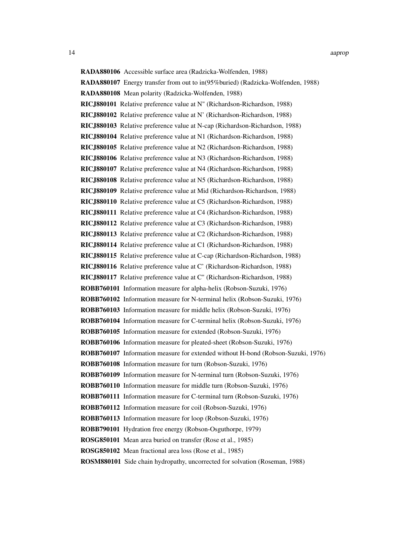RADA880106 Accessible surface area (Radzicka-Wolfenden, 1988) RADA880107 Energy transfer from out to in(95%buried) (Radzicka-Wolfenden, 1988) RADA880108 Mean polarity (Radzicka-Wolfenden, 1988) RICJ880101 Relative preference value at N" (Richardson-Richardson, 1988) RICJ880102 Relative preference value at N' (Richardson-Richardson, 1988) RICJ880103 Relative preference value at N-cap (Richardson-Richardson, 1988) RICJ880104 Relative preference value at N1 (Richardson-Richardson, 1988) RICJ880105 Relative preference value at N2 (Richardson-Richardson, 1988) RICJ880106 Relative preference value at N3 (Richardson-Richardson, 1988) RICJ880107 Relative preference value at N4 (Richardson-Richardson, 1988) RICJ880108 Relative preference value at N5 (Richardson-Richardson, 1988) RICJ880109 Relative preference value at Mid (Richardson-Richardson, 1988) RICJ880110 Relative preference value at C5 (Richardson-Richardson, 1988) RICJ880111 Relative preference value at C4 (Richardson-Richardson, 1988) RICJ880112 Relative preference value at C3 (Richardson-Richardson, 1988) RICJ880113 Relative preference value at C2 (Richardson-Richardson, 1988) RICJ880114 Relative preference value at C1 (Richardson-Richardson, 1988) RICJ880115 Relative preference value at C-cap (Richardson-Richardson, 1988) RICJ880116 Relative preference value at C' (Richardson-Richardson, 1988) RICJ880117 Relative preference value at C" (Richardson-Richardson, 1988) ROBB760101 Information measure for alpha-helix (Robson-Suzuki, 1976) ROBB760102 Information measure for N-terminal helix (Robson-Suzuki, 1976) ROBB760103 Information measure for middle helix (Robson-Suzuki, 1976) ROBB760104 Information measure for C-terminal helix (Robson-Suzuki, 1976) ROBB760105 Information measure for extended (Robson-Suzuki, 1976) ROBB760106 Information measure for pleated-sheet (Robson-Suzuki, 1976) ROBB760107 Information measure for extended without H-bond (Robson-Suzuki, 1976) ROBB760108 Information measure for turn (Robson-Suzuki, 1976) ROBB760109 Information measure for N-terminal turn (Robson-Suzuki, 1976) ROBB760110 Information measure for middle turn (Robson-Suzuki, 1976) ROBB760111 Information measure for C-terminal turn (Robson-Suzuki, 1976) ROBB760112 Information measure for coil (Robson-Suzuki, 1976) ROBB760113 Information measure for loop (Robson-Suzuki, 1976) ROBB790101 Hydration free energy (Robson-Osguthorpe, 1979) ROSG850101 Mean area buried on transfer (Rose et al., 1985) ROSG850102 Mean fractional area loss (Rose et al., 1985) ROSM880101 Side chain hydropathy, uncorrected for solvation (Roseman, 1988)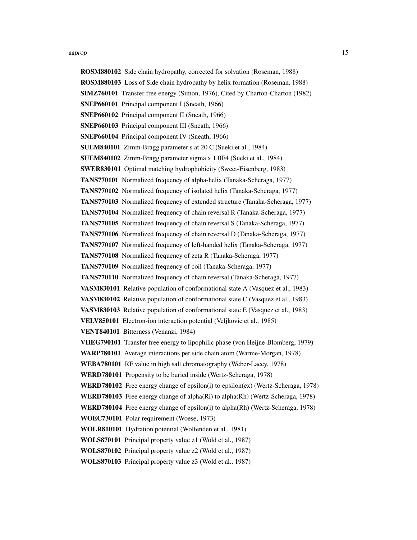#### aaprop to the contract of the contract of the contract of the contract of the contract of the contract of the contract of the contract of the contract of the contract of the contract of the contract of the contract of the

ROSM880102 Side chain hydropathy, corrected for solvation (Roseman, 1988) ROSM880103 Loss of Side chain hydropathy by helix formation (Roseman, 1988) SIMZ760101 Transfer free energy (Simon, 1976), Cited by Charton-Charton (1982) SNEP660101 Principal component I (Sneath, 1966) SNEP660102 Principal component II (Sneath, 1966) SNEP660103 Principal component III (Sneath, 1966) SNEP660104 Principal component IV (Sneath, 1966) SUEM840101 Zimm-Bragg parameter s at 20 C (Sueki et al., 1984) SUEM840102 Zimm-Bragg parameter sigma x 1.0E4 (Sueki et al., 1984) SWER830101 Optimal matching hydrophobicity (Sweet-Eisenberg, 1983) TANS770101 Normalized frequency of alpha-helix (Tanaka-Scheraga, 1977) TANS770102 Normalized frequency of isolated helix (Tanaka-Scheraga, 1977) TANS770103 Normalized frequency of extended structure (Tanaka-Scheraga, 1977) TANS770104 Normalized frequency of chain reversal R (Tanaka-Scheraga, 1977) TANS770105 Normalized frequency of chain reversal S (Tanaka-Scheraga, 1977) TANS770106 Normalized frequency of chain reversal D (Tanaka-Scheraga, 1977) TANS770107 Normalized frequency of left-handed helix (Tanaka-Scheraga, 1977) TANS770108 Normalized frequency of zeta R (Tanaka-Scheraga, 1977) TANS770109 Normalized frequency of coil (Tanaka-Scheraga, 1977) TANS770110 Normalized frequency of chain reversal (Tanaka-Scheraga, 1977) VASM830101 Relative population of conformational state A (Vasquez et al., 1983) VASM830102 Relative population of conformational state C (Vasquez et al., 1983) VASM830103 Relative population of conformational state E (Vasquez et al., 1983) VELV850101 Electron-ion interaction potential (Veljkovic et al., 1985) VENT840101 Bitterness (Venanzi, 1984) VHEG790101 Transfer free energy to lipophilic phase (von Heijne-Blomberg, 1979) WARP780101 Average interactions per side chain atom (Warme-Morgan, 1978) WEBA780101 RF value in high salt chromatography (Weber-Lacey, 1978) WERD780101 Propensity to be buried inside (Wertz-Scheraga, 1978) WERD780102 Free energy change of epsilon(i) to epsilon(ex) (Wertz-Scheraga, 1978) WERD780103 Free energy change of alpha(Ri) to alpha(Rh) (Wertz-Scheraga, 1978) WERD780104 Free energy change of epsilon(i) to alpha(Rh) (Wertz-Scheraga, 1978) WOEC730101 Polar requirement (Woese, 1973) WOLR810101 Hydration potential (Wolfenden et al., 1981) WOLS870101 Principal property value z1 (Wold et al., 1987) WOLS870102 Principal property value z2 (Wold et al., 1987) WOLS870103 Principal property value z3 (Wold et al., 1987)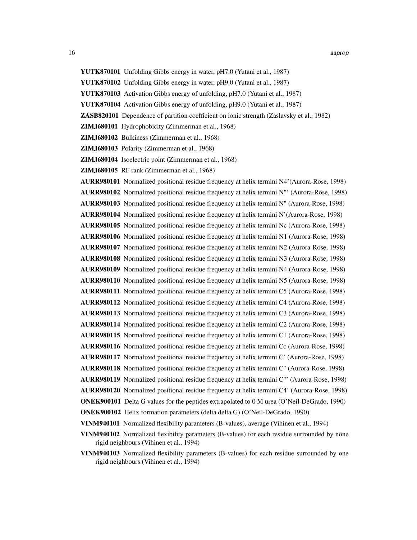- YUTK870101 Unfolding Gibbs energy in water, pH7.0 (Yutani et al., 1987)
- YUTK870102 Unfolding Gibbs energy in water, pH9.0 (Yutani et al., 1987)
- YUTK870103 Activation Gibbs energy of unfolding, pH7.0 (Yutani et al., 1987)
- YUTK870104 Activation Gibbs energy of unfolding, pH9.0 (Yutani et al., 1987)
- ZASB820101 Dependence of partition coefficient on ionic strength (Zaslavsky et al., 1982)
- ZIMJ680101 Hydrophobicity (Zimmerman et al., 1968)
- ZIMJ680102 Bulkiness (Zimmerman et al., 1968)
- ZIMJ680103 Polarity (Zimmerman et al., 1968)
- ZIMJ680104 Isoelectric point (Zimmerman et al., 1968)
- ZIMJ680105 RF rank (Zimmerman et al., 1968)
- AURR980101 Normalized positional residue frequency at helix termini N4'(Aurora-Rose, 1998)
- AURR980102 Normalized positional residue frequency at helix termini N"' (Aurora-Rose, 1998)
- AURR980103 Normalized positional residue frequency at helix termini N" (Aurora-Rose, 1998)
- AURR980104 Normalized positional residue frequency at helix termini N'(Aurora-Rose, 1998)
- AURR980105 Normalized positional residue frequency at helix termini Nc (Aurora-Rose, 1998)
- AURR980106 Normalized positional residue frequency at helix termini N1 (Aurora-Rose, 1998)
- AURR980107 Normalized positional residue frequency at helix termini N2 (Aurora-Rose, 1998)
- AURR980108 Normalized positional residue frequency at helix termini N3 (Aurora-Rose, 1998)
- AURR980109 Normalized positional residue frequency at helix termini N4 (Aurora-Rose, 1998)
- AURR980110 Normalized positional residue frequency at helix termini N5 (Aurora-Rose, 1998)
- AURR980111 Normalized positional residue frequency at helix termini C5 (Aurora-Rose, 1998)
- AURR980112 Normalized positional residue frequency at helix termini C4 (Aurora-Rose, 1998)
- AURR980113 Normalized positional residue frequency at helix termini C3 (Aurora-Rose, 1998)
- AURR980114 Normalized positional residue frequency at helix termini C2 (Aurora-Rose, 1998)
- AURR980115 Normalized positional residue frequency at helix termini C1 (Aurora-Rose, 1998)
- AURR980116 Normalized positional residue frequency at helix termini Cc (Aurora-Rose, 1998)
- AURR980117 Normalized positional residue frequency at helix termini C' (Aurora-Rose, 1998)
- AURR980118 Normalized positional residue frequency at helix termini C" (Aurora-Rose, 1998)
- AURR980119 Normalized positional residue frequency at helix termini C"' (Aurora-Rose, 1998)
- AURR980120 Normalized positional residue frequency at helix termini C4' (Aurora-Rose, 1998)
- ONEK900101 Delta G values for the peptides extrapolated to 0 M urea (O'Neil-DeGrado, 1990)
- ONEK900102 Helix formation parameters (delta delta G) (O'Neil-DeGrado, 1990)
- VINM940101 Normalized flexibility parameters (B-values), average (Vihinen et al., 1994)
- VINM940102 Normalized flexibility parameters (B-values) for each residue surrounded by none rigid neighbours (Vihinen et al., 1994)
- VINM940103 Normalized flexibility parameters (B-values) for each residue surrounded by one rigid neighbours (Vihinen et al., 1994)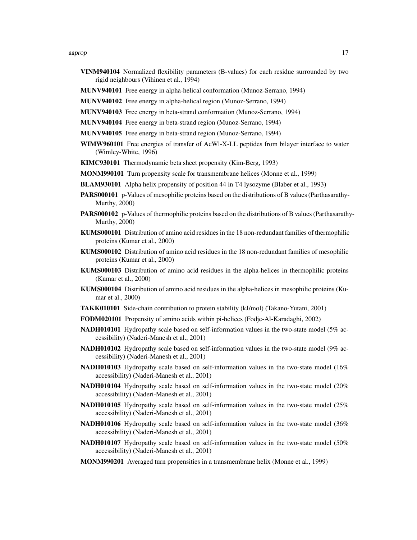#### aaprop to the contract of the contract of the contract of the contract of the contract of the contract of the contract of the contract of the contract of the contract of the contract of the contract of the contract of the

- VINM940104 Normalized flexibility parameters (B-values) for each residue surrounded by two rigid neighbours (Vihinen et al., 1994)
- MUNV940101 Free energy in alpha-helical conformation (Munoz-Serrano, 1994)
- MUNV940102 Free energy in alpha-helical region (Munoz-Serrano, 1994)
- MUNV940103 Free energy in beta-strand conformation (Munoz-Serrano, 1994)
- MUNV940104 Free energy in beta-strand region (Munoz-Serrano, 1994)
- MUNV940105 Free energy in beta-strand region (Munoz-Serrano, 1994)
- WIMW960101 Free energies of transfer of AcWl-X-LL peptides from bilayer interface to water (Wimley-White, 1996)
- KIMC930101 Thermodynamic beta sheet propensity (Kim-Berg, 1993)
- MONM990101 Turn propensity scale for transmembrane helices (Monne et al., 1999)
- BLAM930101 Alpha helix propensity of position 44 in T4 lysozyme (Blaber et al., 1993)
- PARS000101 p-Values of mesophilic proteins based on the distributions of B values (Parthasarathy-Murthy, 2000)
- PARS000102 p-Values of thermophilic proteins based on the distributions of B values (Parthasarathy-Murthy, 2000)
- KUMS000101 Distribution of amino acid residues in the 18 non-redundant families of thermophilic proteins (Kumar et al., 2000)
- KUMS000102 Distribution of amino acid residues in the 18 non-redundant families of mesophilic proteins (Kumar et al., 2000)
- KUMS000103 Distribution of amino acid residues in the alpha-helices in thermophilic proteins (Kumar et al., 2000)
- KUMS000104 Distribution of amino acid residues in the alpha-helices in mesophilic proteins (Kumar et al., 2000)
- TAKK010101 Side-chain contribution to protein stability (kJ/mol) (Takano-Yutani, 2001)
- FODM020101 Propensity of amino acids within pi-helices (Fodje-Al-Karadaghi, 2002)
- NADH010101 Hydropathy scale based on self-information values in the two-state model (5% accessibility) (Naderi-Manesh et al., 2001)
- NADH010102 Hydropathy scale based on self-information values in the two-state model (9% accessibility) (Naderi-Manesh et al., 2001)
- NADH010103 Hydropathy scale based on self-information values in the two-state model (16% accessibility) (Naderi-Manesh et al., 2001)
- NADH010104 Hydropathy scale based on self-information values in the two-state model (20% accessibility) (Naderi-Manesh et al., 2001)
- NADH010105 Hydropathy scale based on self-information values in the two-state model (25% accessibility) (Naderi-Manesh et al., 2001)
- NADH010106 Hydropathy scale based on self-information values in the two-state model (36% accessibility) (Naderi-Manesh et al., 2001)
- NADH010107 Hydropathy scale based on self-information values in the two-state model (50% accessibility) (Naderi-Manesh et al., 2001)
- MONM990201 Averaged turn propensities in a transmembrane helix (Monne et al., 1999)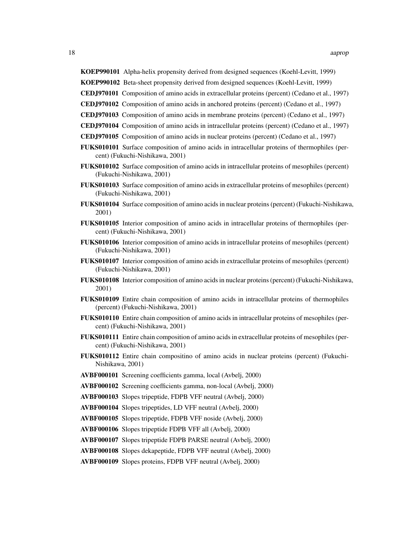KOEP990101 Alpha-helix propensity derived from designed sequences (Koehl-Levitt, 1999)

KOEP990102 Beta-sheet propensity derived from designed sequences (Koehl-Levitt, 1999)

- CEDJ970101 Composition of amino acids in extracellular proteins (percent) (Cedano et al., 1997)
- CEDJ970102 Composition of amino acids in anchored proteins (percent) (Cedano et al., 1997)
- CEDJ970103 Composition of amino acids in membrane proteins (percent) (Cedano et al., 1997)
- CEDJ970104 Composition of amino acids in intracellular proteins (percent) (Cedano et al., 1997)
- CEDJ970105 Composition of amino acids in nuclear proteins (percent) (Cedano et al., 1997)
- FUKS010101 Surface composition of amino acids in intracellular proteins of thermophiles (percent) (Fukuchi-Nishikawa, 2001)
- FUKS010102 Surface composition of amino acids in intracellular proteins of mesophiles (percent) (Fukuchi-Nishikawa, 2001)
- FUKS010103 Surface composition of amino acids in extracellular proteins of mesophiles (percent) (Fukuchi-Nishikawa, 2001)
- FUKS010104 Surface composition of amino acids in nuclear proteins (percent) (Fukuchi-Nishikawa, 2001)
- FUKS010105 Interior composition of amino acids in intracellular proteins of thermophiles (percent) (Fukuchi-Nishikawa, 2001)
- FUKS010106 Interior composition of amino acids in intracellular proteins of mesophiles (percent) (Fukuchi-Nishikawa, 2001)
- FUKS010107 Interior composition of amino acids in extracellular proteins of mesophiles (percent) (Fukuchi-Nishikawa, 2001)
- FUKS010108 Interior composition of amino acids in nuclear proteins (percent) (Fukuchi-Nishikawa, 2001)
- FUKS010109 Entire chain composition of amino acids in intracellular proteins of thermophiles (percent) (Fukuchi-Nishikawa, 2001)
- FUKS010110 Entire chain composition of amino acids in intracellular proteins of mesophiles (percent) (Fukuchi-Nishikawa, 2001)
- FUKS010111 Entire chain composition of amino acids in extracellular proteins of mesophiles (percent) (Fukuchi-Nishikawa, 2001)
- FUKS010112 Entire chain compositino of amino acids in nuclear proteins (percent) (Fukuchi-Nishikawa, 2001)
- AVBF000101 Screening coefficients gamma, local (Avbelj, 2000)
- AVBF000102 Screening coefficients gamma, non-local (Avbelj, 2000)
- AVBF000103 Slopes tripeptide, FDPB VFF neutral (Avbelj, 2000)
- AVBF000104 Slopes tripeptides, LD VFF neutral (Avbelj, 2000)
- AVBF000105 Slopes tripeptide, FDPB VFF noside (Avbelj, 2000)
- AVBF000106 Slopes tripeptide FDPB VFF all (Avbelj, 2000)
- AVBF000107 Slopes tripeptide FDPB PARSE neutral (Avbelj, 2000)
- AVBF000108 Slopes dekapeptide, FDPB VFF neutral (Avbelj, 2000)
- AVBF000109 Slopes proteins, FDPB VFF neutral (Avbelj, 2000)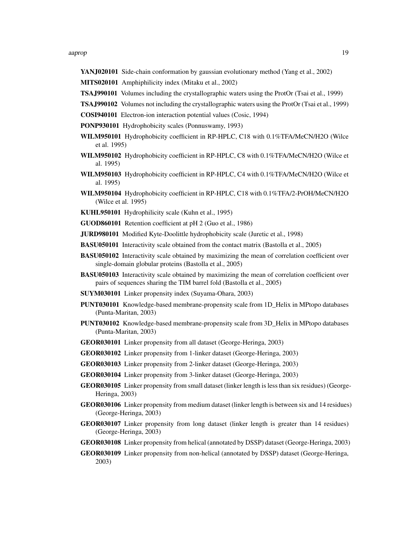#### aaprop to the contract of the contract of the contract of the contract of the contract of the contract of the contract of the contract of the contract of the contract of the contract of the contract of the contract of the

- YANJ020101 Side-chain conformation by gaussian evolutionary method (Yang et al., 2002)
- MITS020101 Amphiphilicity index (Mitaku et al., 2002)
- TSAJ990101 Volumes including the crystallographic waters using the ProtOr (Tsai et al., 1999)
- TSAJ990102 Volumes not including the crystallographic waters using the ProtOr (Tsai et al., 1999)
- COSI940101 Electron-ion interaction potential values (Cosic, 1994)
- PONP930101 Hydrophobicity scales (Ponnuswamy, 1993)
- WILM950101 Hydrophobicity coefficient in RP-HPLC, C18 with 0.1%TFA/MeCN/H2O (Wilce et al. 1995)
- WILM950102 Hydrophobicity coefficient in RP-HPLC, C8 with 0.1%TFA/MeCN/H2O (Wilce et al. 1995)
- WILM950103 Hydrophobicity coefficient in RP-HPLC, C4 with 0.1%TFA/MeCN/H2O (Wilce et al. 1995)
- WILM950104 Hydrophobicity coefficient in RP-HPLC, C18 with 0.1%TFA/2-PrOH/MeCN/H2O (Wilce et al. 1995)
- KUHL950101 Hydrophilicity scale (Kuhn et al., 1995)
- GUOD860101 Retention coefficient at pH 2 (Guo et al., 1986)
- JURD980101 Modified Kyte-Doolittle hydrophobicity scale (Juretic et al., 1998)
- BASU050101 Interactivity scale obtained from the contact matrix (Bastolla et al., 2005)
- BASU050102 Interactivity scale obtained by maximizing the mean of correlation coefficient over single-domain globular proteins (Bastolla et al., 2005)
- BASU050103 Interactivity scale obtained by maximizing the mean of correlation coefficient over pairs of sequences sharing the TIM barrel fold (Bastolla et al., 2005)
- SUYM030101 Linker propensity index (Suyama-Ohara, 2003)
- PUNT030101 Knowledge-based membrane-propensity scale from 1D\_Helix in MPtopo databases (Punta-Maritan, 2003)
- PUNT030102 Knowledge-based membrane-propensity scale from 3D\_Helix in MPtopo databases (Punta-Maritan, 2003)
- GEOR030101 Linker propensity from all dataset (George-Heringa, 2003)
- GEOR030102 Linker propensity from 1-linker dataset (George-Heringa, 2003)
- GEOR030103 Linker propensity from 2-linker dataset (George-Heringa, 2003)
- GEOR030104 Linker propensity from 3-linker dataset (George-Heringa, 2003)
- GEOR030105 Linker propensity from small dataset (linker length is less than six residues) (George-Heringa, 2003)
- GEOR030106 Linker propensity from medium dataset (linker length is between six and 14 residues) (George-Heringa, 2003)
- GEOR030107 Linker propensity from long dataset (linker length is greater than 14 residues) (George-Heringa, 2003)
- GEOR030108 Linker propensity from helical (annotated by DSSP) dataset (George-Heringa, 2003)
- GEOR030109 Linker propensity from non-helical (annotated by DSSP) dataset (George-Heringa, 2003)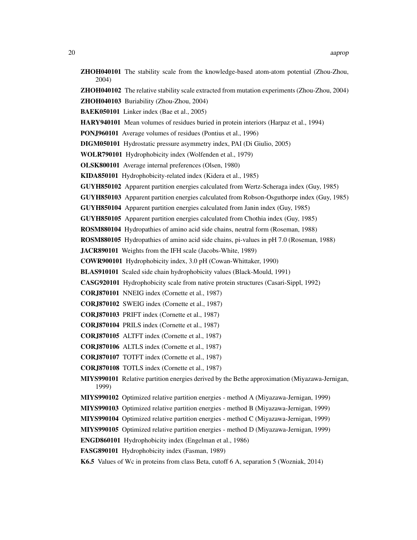|       |  | <b>ZHOH040101</b> The stability scale from the knowledge-based atom-atom potential (Zhou-Zhou,       |  |  |
|-------|--|------------------------------------------------------------------------------------------------------|--|--|
| 2004) |  |                                                                                                      |  |  |
|       |  | <b>ZHOH040102</b> The relative stability scale extracted from mutation experiments (Zhou-Zhou, 2004) |  |  |

- 
- ZHOH040103 Buriability (Zhou-Zhou, 2004)
- BAEK050101 Linker index (Bae et al., 2005)
- HARY940101 Mean volumes of residues buried in protein interiors (Harpaz et al., 1994)
- PONJ960101 Average volumes of residues (Pontius et al., 1996)
- DIGM050101 Hydrostatic pressure asymmetry index, PAI (Di Giulio, 2005)
- WOLR790101 Hydrophobicity index (Wolfenden et al., 1979)
- OLSK800101 Average internal preferences (Olsen, 1980)
- KIDA850101 Hydrophobicity-related index (Kidera et al., 1985)
- GUYH850102 Apparent partition energies calculated from Wertz-Scheraga index (Guy, 1985)
- GUYH850103 Apparent partition energies calculated from Robson-Osguthorpe index (Guy, 1985)
- GUYH850104 Apparent partition energies calculated from Janin index (Guy, 1985)
- GUYH850105 Apparent partition energies calculated from Chothia index (Guy, 1985)
- ROSM880104 Hydropathies of amino acid side chains, neutral form (Roseman, 1988)
- ROSM880105 Hydropathies of amino acid side chains, pi-values in pH 7.0 (Roseman, 1988)
- JACR890101 Weights from the IFH scale (Jacobs-White, 1989)
- COWR900101 Hydrophobicity index, 3.0 pH (Cowan-Whittaker, 1990)
- BLAS910101 Scaled side chain hydrophobicity values (Black-Mould, 1991)
- CASG920101 Hydrophobicity scale from native protein structures (Casari-Sippl, 1992)
- CORJ870101 NNEIG index (Cornette et al., 1987)
- CORJ870102 SWEIG index (Cornette et al., 1987)
- CORJ870103 PRIFT index (Cornette et al., 1987)
- CORJ870104 PRILS index (Cornette et al., 1987)
- CORJ870105 ALTFT index (Cornette et al., 1987)
- CORJ870106 ALTLS index (Cornette et al., 1987)
- CORJ870107 TOTFT index (Cornette et al., 1987)
- CORJ870108 TOTLS index (Cornette et al., 1987)
- MIYS990101 Relative partition energies derived by the Bethe approximation (Miyazawa-Jernigan, 1999)
- MIYS990102 Optimized relative partition energies method A (Miyazawa-Jernigan, 1999)
- MIYS990103 Optimized relative partition energies method B (Miyazawa-Jernigan, 1999)
- MIYS990104 Optimized relative partition energies method C (Miyazawa-Jernigan, 1999)
- MIYS990105 Optimized relative partition energies method D (Miyazawa-Jernigan, 1999)
- ENGD860101 Hydrophobicity index (Engelman et al., 1986)
- FASG890101 Hydrophobicity index (Fasman, 1989)
- K6.5 Values of Wc in proteins from class Beta, cutoff 6 A, separation 5 (Wozniak, 2014)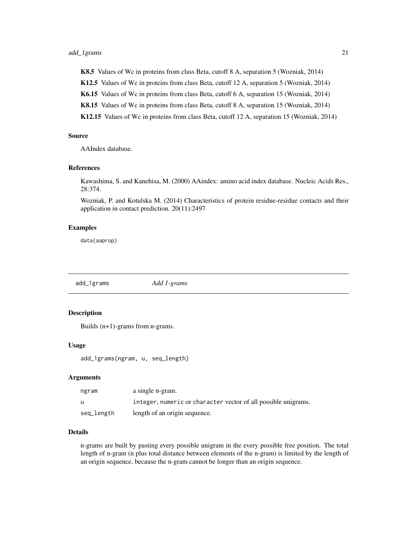<span id="page-20-0"></span>K8.5 Values of Wc in proteins from class Beta, cutoff 8 A, separation 5 (Wozniak, 2014)

K12.5 Values of Wc in proteins from class Beta, cutoff 12 A, separation 5 (Wozniak, 2014)

K6.15 Values of Wc in proteins from class Beta, cutoff 6 A, separation 15 (Wozniak, 2014)

K8.15 Values of Wc in proteins from class Beta, cutoff 8 A, separation 15 (Wozniak, 2014)

K12.15 Values of Wc in proteins from class Beta, cutoff 12 A, separation 15 (Wozniak, 2014)

# Source

AAIndex database.

# References

Kawashima, S. and Kanehisa, M. (2000) AAindex: amino acid index database. Nucleic Acids Res., 28:374.

Wozniak, P. and Kotulska M. (2014) Characteristics of protein residue-residue contacts and their application in contact prediction. 20(11):2497

#### Examples

data(aaprop)

<span id="page-20-1"></span>add\_1grams *Add 1-grams*

#### Description

Builds (n+1)-grams from n-grams.

#### Usage

add\_1grams(ngram, u, seq\_length)

# Arguments

| ngram      | a single n-gram.                                               |
|------------|----------------------------------------------------------------|
| u          | integer, numeric or character vector of all possible unigrams. |
| seq_length | length of an origin sequence.                                  |

#### Details

n-grams are built by pasting every possible unigram in the every possible free position. The total length of n-gram (n plus total distance between elements of the n-gram) is limited by the length of an origin sequence, because the n-gram cannot be longer than an origin sequence.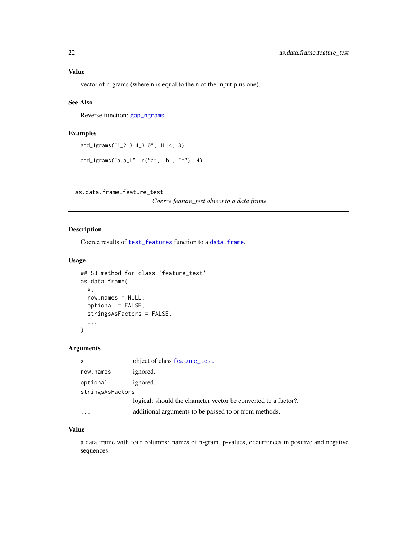# <span id="page-21-0"></span>Value

vector of n-grams (where n is equal to the n of the input plus one).

# See Also

Reverse function: [gap\\_ngrams](#page-48-1).

# Examples

```
add_1grams("1_2.3.4_3.0", 1L:4, 8)
```

```
add_1grams("a.a_1", c("a", "b", "c"), 4)
```
<span id="page-21-1"></span>as.data.frame.feature\_test

*Coerce feature\_test object to a data frame*

# Description

Coerce results of [test\\_features](#page-63-1) function to a [data.frame](#page-0-0).

# Usage

```
## S3 method for class 'feature_test'
as.data.frame(
  x,
  row.names = NULL,
  optional = FALSE,
  stringsAsFactors = FALSE,
  ...
\mathcal{L}
```
# Arguments

| x                | object of class feature_test.                                   |
|------------------|-----------------------------------------------------------------|
| row.names        | ignored.                                                        |
| optional         | ignored.                                                        |
| stringsAsFactors |                                                                 |
|                  | logical: should the character vector be converted to a factor?. |
|                  | additional arguments to be passed to or from methods.           |

# Value

a data frame with four columns: names of n-gram, p-values, occurrences in positive and negative sequences.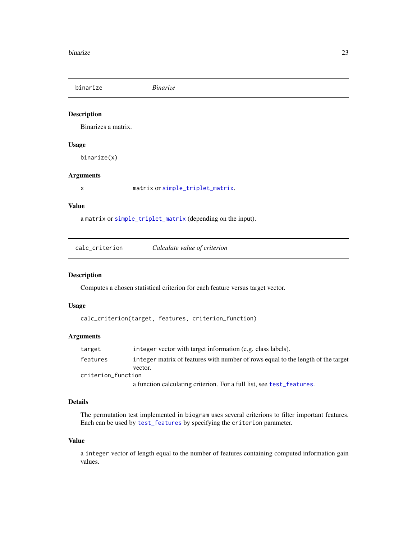<span id="page-22-2"></span><span id="page-22-0"></span>binarize *Binarize*

# Description

Binarizes a matrix.

#### Usage

binarize(x)

# Arguments

x matrix or [simple\\_triplet\\_matrix](#page-0-0).

#### Value

a matrix or [simple\\_triplet\\_matrix](#page-0-0) (depending on the input).

<span id="page-22-1"></span>

| calc_criterion | Calculate value of criterion |  |
|----------------|------------------------------|--|
|----------------|------------------------------|--|

# Description

Computes a chosen statistical criterion for each feature versus target vector.

#### Usage

calc\_criterion(target, features, criterion\_function)

#### Arguments

| target             | integer vector with target information (e.g. class labels).                      |
|--------------------|----------------------------------------------------------------------------------|
| features           | integer matrix of features with number of rows equal to the length of the target |
|                    | vector.                                                                          |
| criterion function |                                                                                  |
|                    | a function calculating criterion. For a full list, see test_features.            |

# Details

The permutation test implemented in biogram uses several criterions to filter important features. Each can be used by [test\\_features](#page-63-1) by specifying the criterion parameter.

#### Value

a integer vector of length equal to the number of features containing computed information gain values.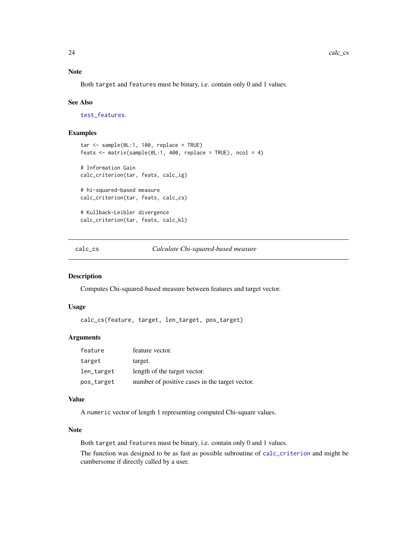#### <span id="page-23-0"></span>Note

Both target and features must be binary, i.e. contain only 0 and 1 values.

#### See Also

[test\\_features](#page-63-1).

#### Examples

```
tar < - sample(0L:1, 100, replace = TRUE)feats \leq matrix(sample(0L:1, 400, replace = TRUE), ncol = 4)
# Information Gain
calc_criterion(tar, feats, calc_ig)
# hi-squared-based measure
calc_criterion(tar, feats, calc_cs)
# Kullback-Leibler divergence
calc_criterion(tar, feats, calc_kl)
```
<span id="page-23-1"></span>calc\_cs *Calculate Chi-squared-based measure*

#### Description

Computes Chi-squared-based measure between features and target vector.

#### Usage

calc\_cs(feature, target, len\_target, pos\_target)

#### Arguments

| feature    | feature vector.                                |
|------------|------------------------------------------------|
| target     | target.                                        |
| len_target | length of the target vector.                   |
| pos_target | number of positive cases in the target vector. |

#### Value

A numeric vector of length 1 representing computed Chi-square values.

#### Note

Both target and features must be binary, i.e. contain only 0 and 1 values.

The function was designed to be as fast as possible subroutine of [calc\\_criterion](#page-22-1) and might be cumbersome if directly called by a user.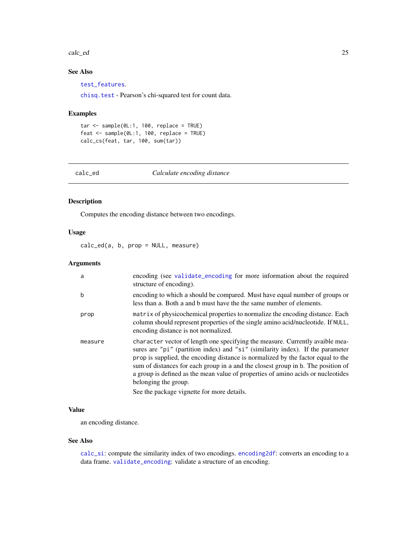#### <span id="page-24-0"></span>calc\_ed 25

# See Also

[test\\_features](#page-63-1).

[chisq.test](#page-0-0) - Pearson's chi-squared test for count data.

#### Examples

```
tar <- sample(0L:1, 100, replace = TRUE)
feat \leq sample(0L:1, 100, replace = TRUE)
calc_cs(feat, tar, 100, sum(tar))
```
<span id="page-24-1"></span>calc\_ed *Calculate encoding distance*

#### Description

Computes the encoding distance between two encodings.

# Usage

calc\_ed(a, b, prop = NULL, measure)

# Arguments

| a       | encoding (see validate_encoding for more information about the required<br>structure of encoding).                                                                                                                                                                                                                                                                                                                                                                                                |
|---------|---------------------------------------------------------------------------------------------------------------------------------------------------------------------------------------------------------------------------------------------------------------------------------------------------------------------------------------------------------------------------------------------------------------------------------------------------------------------------------------------------|
| b       | encoding to which a should be compared. Must have equal number of groups or<br>less than a. Both a and b must have the the same number of elements.                                                                                                                                                                                                                                                                                                                                               |
| prop    | matrix of physicochemical properties to normalize the encoding distance. Each<br>column should represent properties of the single amino acid/nucleotide. If NULL,<br>encoding distance is not normalized.                                                                                                                                                                                                                                                                                         |
| measure | character vector of length one specifying the measure. Currently avaible mea-<br>sures are "pi" (partition index) and "si" (similarity index). If the parameter<br>prop is supplied, the encoding distance is normalized by the factor equal to the<br>sum of distances for each group in a and the closest group in b. The position of<br>a group is defined as the mean value of properties of amino acids or nucleotides<br>belonging the group.<br>See the package vignette for more details. |

# Value

an encoding distance.

#### See Also

[calc\\_si](#page-28-1): compute the similarity index of two encodings. [encoding2df](#page-45-1): converts an encoding to a data frame. [validate\\_encoding](#page-65-1): validate a structure of an encoding.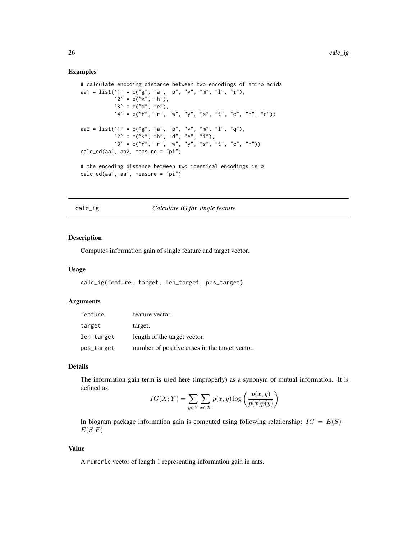#### Examples

```
# calculate encoding distance between two encodings of amino acids
aa1 = list('1' = c("g", "a", "p", "v", "m", "l", "i"),
           `2` = c("k", "h"),
           's' = c("d", "e"),\Delta^2 = c("f", "r", "w", "y", "s", "t", "c", "n", "q")aa2 = list(`1` = c("g", "a", "p", "v", "m", "l", "q"),
           2^{\circ} = c("k", "h", "d", "e", "i"),3' = c("f", "r", "w", "y", "s", "t", "c", "n")calc_ed(aa1, aa2, measure = "pi")
# the encoding distance between two identical encodings is 0
```
#### <span id="page-25-1"></span>calc\_ig *Calculate IG for single feature*

#### Description

Computes information gain of single feature and target vector.

calc\_ed(aa1, aa1, measure = "pi")

#### Usage

```
calc_ig(feature, target, len_target, pos_target)
```
#### Arguments

| feature    | feature vector.                                |
|------------|------------------------------------------------|
| target     | target.                                        |
| len_target | length of the target vector.                   |
| pos_target | number of positive cases in the target vector. |

#### Details

The information gain term is used here (improperly) as a synonym of mutual information. It is defined as:

$$
IG(X;Y) = \sum_{y \in Y} \sum_{x \in X} p(x,y) \log \left( \frac{p(x,y)}{p(x)p(y)} \right)
$$

In biogram package information gain is computed using following relationship:  $IG = E(S)$  –  $E(S|F)$ 

#### Value

A numeric vector of length 1 representing information gain in nats.

<span id="page-25-0"></span>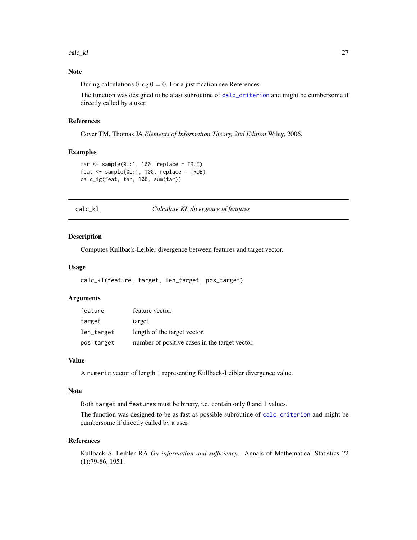<span id="page-26-0"></span>calc\_kl 27

# Note

During calculations  $0 \log 0 = 0$ . For a justification see References.

The function was designed to be afast subroutine of [calc\\_criterion](#page-22-1) and might be cumbersome if directly called by a user.

#### References

Cover TM, Thomas JA *Elements of Information Theory, 2nd Edition* Wiley, 2006.

#### Examples

```
tar <- sample(0L:1, 100, replace = TRUE)
feat <- sample(0L:1, 100, replace = TRUE)
calc_ig(feat, tar, 100, sum(tar))
```
<span id="page-26-1"></span>calc\_kl *Calculate KL divergence of features*

# Description

Computes Kullback-Leibler divergence between features and target vector.

#### Usage

calc\_kl(feature, target, len\_target, pos\_target)

#### **Arguments**

| feature    | feature vector.                                |
|------------|------------------------------------------------|
| target     | target.                                        |
| len_target | length of the target vector.                   |
| pos_target | number of positive cases in the target vector. |

# Value

A numeric vector of length 1 representing Kullback-Leibler divergence value.

#### Note

Both target and features must be binary, i.e. contain only 0 and 1 values.

The function was designed to be as fast as possible subroutine of [calc\\_criterion](#page-22-1) and might be cumbersome if directly called by a user.

#### References

Kullback S, Leibler RA *On information and sufficiency*. Annals of Mathematical Statistics 22 (1):79-86, 1951.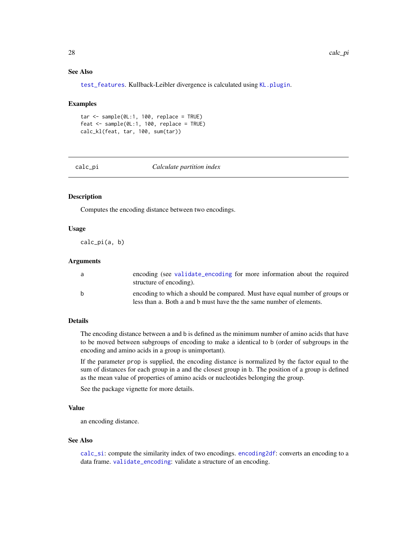# See Also

[test\\_features](#page-63-1). Kullback-Leibler divergence is calculated using [KL.plugin](#page-0-0).

#### Examples

```
tar <- sample(0L:1, 100, replace = TRUE)
feat \leq sample(0L:1, 100, replace = TRUE)
calc_kl(feat, tar, 100, sum(tar))
```
calc\_pi *Calculate partition index*

### Description

Computes the encoding distance between two encodings.

# Usage

calc\_pi(a, b)

#### Arguments

| a | encoding (see validate encoding for more information about the required<br>structure of encoding).                                                  |
|---|-----------------------------------------------------------------------------------------------------------------------------------------------------|
| b | encoding to which a should be compared. Must have equal number of groups or<br>less than a. Both a and b must have the the same number of elements. |

# Details

The encoding distance between a and b is defined as the minimum number of amino acids that have to be moved between subgroups of encoding to make a identical to b (order of subgroups in the encoding and amino acids in a group is unimportant).

If the parameter prop is supplied, the encoding distance is normalized by the factor equal to the sum of distances for each group in a and the closest group in b. The position of a group is defined as the mean value of properties of amino acids or nucleotides belonging the group.

See the package vignette for more details.

## Value

an encoding distance.

#### See Also

[calc\\_si](#page-28-1): compute the similarity index of two encodings. [encoding2df](#page-45-1): converts an encoding to a data frame. [validate\\_encoding](#page-65-1): validate a structure of an encoding.

<span id="page-27-0"></span>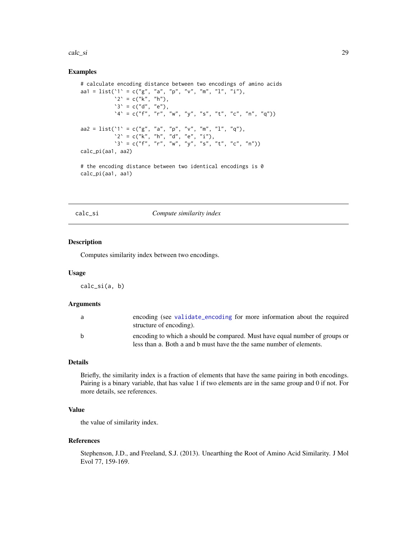<span id="page-28-0"></span>calc\_si 29

#### Examples

```
# calculate encoding distance between two encodings of amino acids
aa1 = list(`1` = c("g", "a", "p", "v", "m", "l", "i"),
            2^{\circ} = c("k", "h"),
           's' = c("d", "e"),\Delta^2 = c("f", "r", "w", "y", "s", "t", "c", "n", "q")aa2 = list('1' = c("g", "a", "p", "v", "m", "1", "q"),2^{\circ} = c("k", "h", "d", "e", "i"),\mathbf{S}^{\setminus} = c("f", "r", "w", "y", "s", "t", "c", "n"))calc_pi(aa1, aa2)
```
# the encoding distance between two identical encodings is 0 calc\_pi(aa1, aa1)

<span id="page-28-1"></span>calc\_si *Compute similarity index*

#### Description

Computes similarity index between two encodings.

#### Usage

calc\_si(a, b)

#### Arguments

| a            | encoding (see validate encoding for more information about the required<br>structure of encoding).                                                  |
|--------------|-----------------------------------------------------------------------------------------------------------------------------------------------------|
| <sub>b</sub> | encoding to which a should be compared. Must have equal number of groups or<br>less than a. Both a and b must have the the same number of elements. |

# Details

Briefly, the similarity index is a fraction of elements that have the same pairing in both encodings. Pairing is a binary variable, that has value 1 if two elements are in the same group and 0 if not. For more details, see references.

# Value

the value of similarity index.

#### References

Stephenson, J.D., and Freeland, S.J. (2013). Unearthing the Root of Amino Acid Similarity. J Mol Evol 77, 159-169.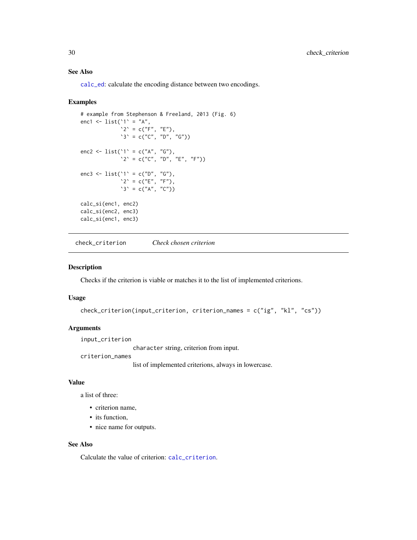# See Also

[calc\\_ed](#page-24-1): calculate the encoding distance between two encodings.

#### Examples

```
# example from Stephenson & Freeland, 2013 (Fig. 6)
enc1 <- list('1' = "A",
             2^{\circ} = c("F", "E"),
             3' = c("C", "D", "G")enc2 <- list('1' = c("A", "G"),
             ^2 = c("C", "D", "E", "F"))
enc3 <- list('1' = c("D", "G"),
             ^2 = c("E", "F"),
             3' = c("A", "C")calc_si(enc1, enc2)
calc_si(enc2, enc3)
calc_si(enc1, enc3)
```
check\_criterion *Check chosen criterion*

#### Description

Checks if the criterion is viable or matches it to the list of implemented criterions.

#### Usage

```
check_criterion(input_criterion, criterion_names = c("ig", "kl", "cs"))
```
#### Arguments

input\_criterion

character string, criterion from input.

criterion\_names

list of implemented criterions, always in lowercase.

# Value

a list of three:

- criterion name,
- its function,
- nice name for outputs.

#### See Also

Calculate the value of criterion: [calc\\_criterion](#page-22-1).

<span id="page-29-0"></span>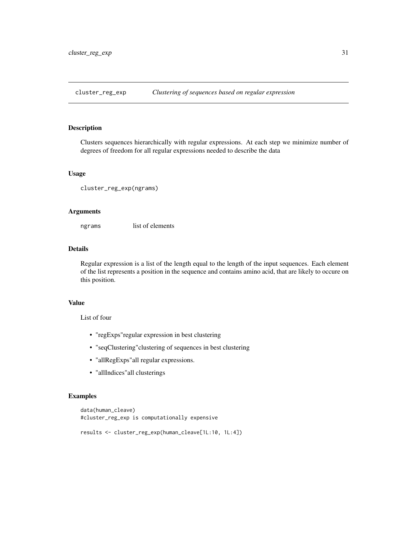<span id="page-30-0"></span>cluster\_reg\_exp *Clustering of sequences based on regular expression*

#### Description

Clusters sequences hierarchically with regular expressions. At each step we minimize number of degrees of freedom for all regular expressions needed to describe the data

#### Usage

```
cluster_reg_exp(ngrams)
```
#### Arguments

ngrams list of elements

#### Details

Regular expression is a list of the length equal to the length of the input sequences. Each element of the list represents a position in the sequence and contains amino acid, that are likely to occure on this position.

#### Value

List of four

- "regExps"regular expression in best clustering
- "seqClustering"clustering of sequences in best clustering
- "allRegExps"all regular expressions.
- "allIndices"all clusterings

```
data(human_cleave)
#cluster_reg_exp is computationally expensive
```

```
results <- cluster_reg_exp(human_cleave[1L:10, 1L:4])
```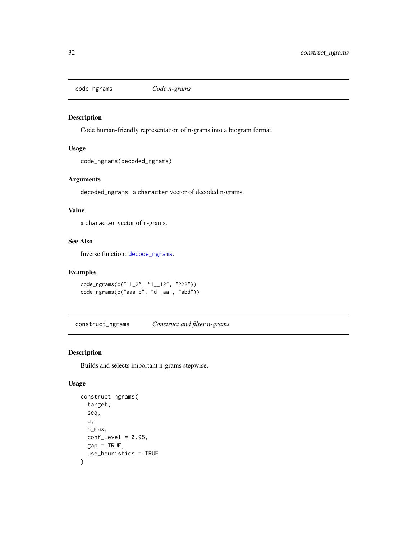<span id="page-31-1"></span><span id="page-31-0"></span>

Code human-friendly representation of n-grams into a biogram format.

# Usage

code\_ngrams(decoded\_ngrams)

# Arguments

decoded\_ngrams a character vector of decoded n-grams.

# Value

a character vector of n-grams.

# See Also

Inverse function: [decode\\_ngrams](#page-41-1).

# Examples

```
code_ngrams(c("11_2", "1__12", "222"))
code_ngrams(c("aaa_b", "d__aa", "abd"))
```
construct\_ngrams *Construct and filter n-grams*

# Description

Builds and selects important n-grams stepwise.

# Usage

```
construct_ngrams(
  target,
  seq,
  u,
  n_max,
  conf\_level = 0.95,
  gap = TRUE,use_heuristics = TRUE
\mathcal{E}
```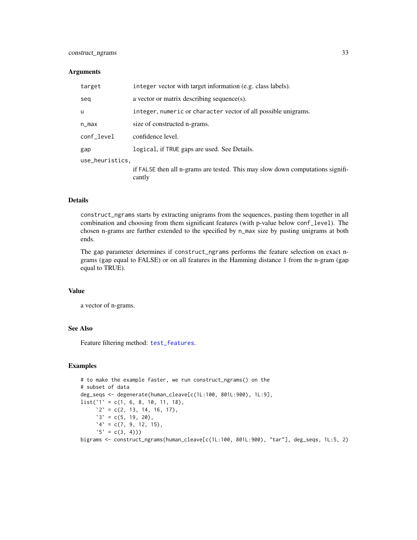# <span id="page-32-0"></span>construct\_ngrams 33

#### **Arguments**

| target          | integer vector with target information (e.g. class labels).                              |
|-----------------|------------------------------------------------------------------------------------------|
| seq             | a vector or matrix describing sequence(s).                                               |
| u               | integer, numeric or character vector of all possible unigrams.                           |
| n_max           | size of constructed n-grams.                                                             |
| conf_level      | confidence level.                                                                        |
| gap             | logical, if TRUE gaps are used. See Details.                                             |
| use_heuristics, |                                                                                          |
|                 | if FALSE then all n-grams are tested. This may slow down computations signifi-<br>cantly |

#### Details

construct\_ngrams starts by extracting unigrams from the sequences, pasting them together in all combination and choosing from them significant features (with p-value below conf\_level). The chosen n-grams are further extended to the specified by n\_max size by pasting unigrams at both ends.

The gap parameter determines if construct\_ngrams performs the feature selection on exact ngrams (gap equal to FALSE) or on all features in the Hamming distance 1 from the n-gram (gap equal to TRUE).

# Value

a vector of n-grams.

#### See Also

Feature filtering method: [test\\_features](#page-63-1).

#### Examples

```
# to make the example faster, we run construct_ngrams() on the
# subset of data
deg_seqs <- degenerate(human_cleave[c(1L:100, 801L:900), 1L:9],
list('1' = c(1, 6, 8, 10, 11, 18)),2^{\circ} = c(2, 13, 14, 16, 17),3' = c(5, 19, 20),
     \Delta^2 = c(7, 9, 12, 15),'5' = c(3, 4))
```
bigrams <- construct\_ngrams(human\_cleave[c(1L:100, 801L:900), "tar"], deg\_seqs, 1L:5, 2)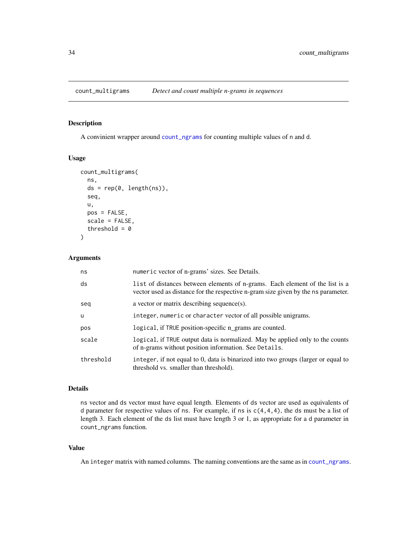<span id="page-33-1"></span><span id="page-33-0"></span>A convinient wrapper around [count\\_ngrams](#page-34-1) for counting multiple values of n and d.

#### Usage

```
count_multigrams(
  ns,
  ds = rep(0, length(ns)),seq,
  u,
  pos = FALSE,
  scale = FALSE,
  threshold = 0)
```
# Arguments

| ns        | numeric vector of n-grams' sizes. See Details.                                                                                                                    |
|-----------|-------------------------------------------------------------------------------------------------------------------------------------------------------------------|
| ds        | list of distances between elements of n-grams. Each element of the list is a<br>vector used as distance for the respective n-gram size given by the ns parameter. |
| seq       | a vector or matrix describing sequence(s).                                                                                                                        |
| <b>u</b>  | integer, numeric or character vector of all possible unigrams.                                                                                                    |
| pos       | logical, if TRUE position-specific n_grams are counted.                                                                                                           |
| scale     | logical, if TRUE output data is normalized. May be applied only to the counts<br>of n-grams without position information. See Details.                            |
| threshold | integer, if not equal to 0, data is binarized into two groups (larger or equal to<br>threshold vs. smaller than threshold).                                       |

# Details

ns vector and ds vector must have equal length. Elements of ds vector are used as equivalents of d parameter for respective values of ns. For example, if ns is c(4,4,4), the ds must be a list of length 3. Each element of the ds list must have length 3 or 1, as appropriate for a d parameter in count\_ngrams function.

#### Value

An integer matrix with named columns. The naming conventions are the same as in [count\\_ngrams](#page-34-1).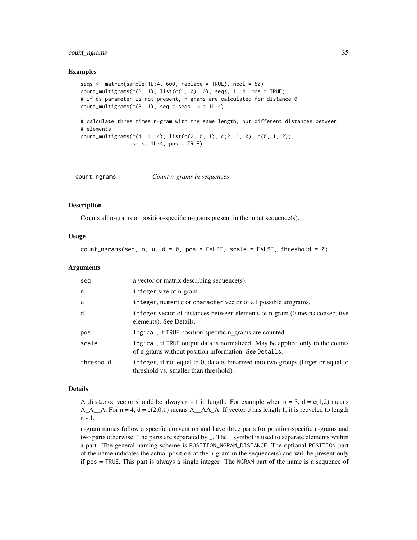# <span id="page-34-0"></span>count\_ngrams 35

#### Examples

```
seqs \leq matrix(sample(1L:4, 600, replace = TRUE), ncol = 50)
count_multigrams(c(3, 1), list(c(1, 0), 0), seqs, 1L:4, pos = TRUE)
# if ds parameter is not present, n-grams are calculated for distance 0
count_multigrams(c(3, 1), seq = segs, u = 1L:4)# calculate three times n-gram with the same length, but different distances between
# elements
count\_multigrams(c(4, 4, 4), list(c(2, 0, 1), c(2, 1, 0), c(0, 1, 2)),seqs, 1L:4, pos = TRUE)
```
<span id="page-34-1"></span>count\_ngrams *Count n-grams in sequences*

#### Description

Counts all n-grams or position-specific n-grams present in the input sequence(s).

# Usage

count\_ngrams(seq, n, u,  $d = 0$ , pos = FALSE, scale = FALSE, threshold = 0)

#### Arguments

| seg       | a vector or matrix describing sequence(s).                                                                                             |
|-----------|----------------------------------------------------------------------------------------------------------------------------------------|
| n         | integer size of n-gram.                                                                                                                |
| <b>u</b>  | integer, numeric or character vector of all possible unigrams.                                                                         |
| d         | integer vector of distances between elements of n-gram (0 means consecutive<br>elements). See Details.                                 |
| pos       | logical, if TRUE position-specific n_grams are counted.                                                                                |
| scale     | logical, if TRUE output data is normalized. May be applied only to the counts<br>of n-grams without position information. See Details. |
| threshold | integer, if not equal to 0, data is binarized into two groups (larger or equal to<br>threshold vs. smaller than threshold).            |

#### Details

A distance vector should be always n - 1 in length. For example when  $n = 3$ ,  $d = c(1,2)$  means  $A_A_A_A$ . For  $n = 4$ ,  $d = c(2,0,1)$  means  $A_A_A_A_A$ . If vector d has length 1, it is recycled to length n - 1.

n-gram names follow a specific convention and have three parts for position-specific n-grams and two parts otherwise. The parts are separated by \_. The . symbol is used to separate elements within a part. The general naming scheme is POSITION\_NGRAM\_DISTANCE. The optional POSITION part of the name indicates the actual position of the n-gram in the sequence(s) and will be present only if pos = TRUE. This part is always a single integer. The NGRAM part of the name is a sequence of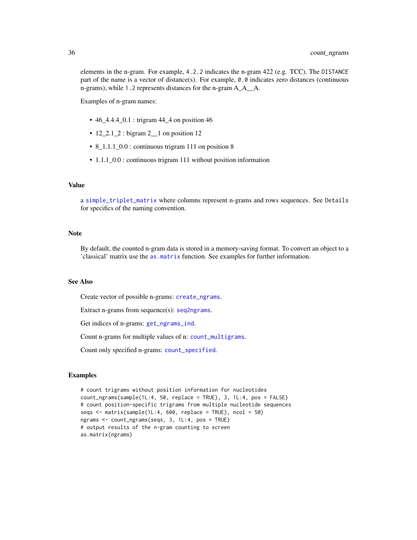<span id="page-35-0"></span>elements in the n-gram. For example, 4.2.2 indicates the n-gram 422 (e.g. TCC). The DISTANCE part of the name is a vector of distance(s). For example, 0.0 indicates zero distances (continuous n-grams), while 1.2 represents distances for the n-gram  $A_A_A$ .

Examples of n-gram names:

- 46\_4.4.4\_0.1 : trigram 44\_4 on position 46
- $12\_2.1\_2$ : bigram  $2\_1$  on position 12
- 8\_1.1.1\_0.0 : continuous trigram 111 on position 8
- 1.1.1\_0.0 : continuous trigram 111 without position information

#### Value

a [simple\\_triplet\\_matrix](#page-0-0) where columns represent n-grams and rows sequences. See Details for specifics of the naming convention.

#### **Note**

By default, the counted n-gram data is stored in a memory-saving format. To convert an object to a 'classical' matrix use the [as.matrix](#page-0-0) function. See examples for further information.

#### See Also

Create vector of possible n-grams: [create\\_ngrams](#page-39-1).

Extract n-grams from sequence(s): [seq2ngrams](#page-60-1).

Get indices of n-grams: [get\\_ngrams\\_ind](#page-51-1).

Count n-grams for multiple values of n: [count\\_multigrams](#page-33-1).

Count only specified n-grams: [count\\_specified](#page-36-1).

```
# count trigrams without position information for nucleotides
count_ngrams(sample(1L:4, 50, replace = TRUE), 3, 1L:4, pos = FALSE)
# count position-specific trigrams from multiple nucleotide sequences
seqs \leq matrix(sample(1L:4, 600, replace = TRUE), ncol = 50)
ngrams <- count_ngrams(seqs, 3, 1L:4, pos = TRUE)
# output results of the n-gram counting to screen
as.matrix(ngrams)
```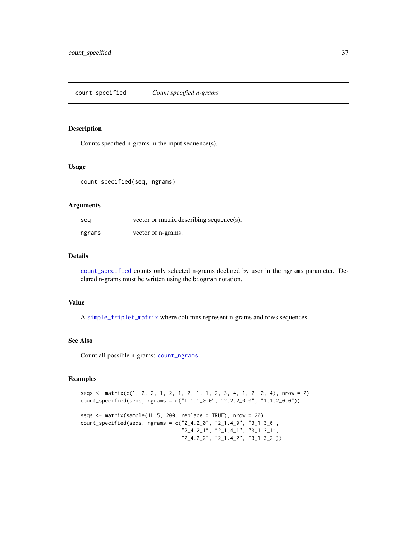<span id="page-36-1"></span><span id="page-36-0"></span>Counts specified n-grams in the input sequence(s).

#### Usage

count\_specified(seq, ngrams)

#### Arguments

| seg    | vector or matrix describing sequence(s). |
|--------|------------------------------------------|
| ngrams | vector of n-grams.                       |

# Details

[count\\_specified](#page-36-1) counts only selected n-grams declared by user in the ngrams parameter. Declared n-grams must be written using the biogram notation.

#### Value

A [simple\\_triplet\\_matrix](#page-0-0) where columns represent n-grams and rows sequences.

# See Also

Count all possible n-grams: [count\\_ngrams](#page-34-1).

```
seqs <- matrix(c(1, 2, 2, 1, 2, 1, 2, 1, 1, 2, 3, 4, 1, 2, 2, 4), nrow = 2)
count_specified(seqs, ngrams = c("1.1.1_0.0", "2.2.2_0.0", "1.1.2_0.0"))
```

```
seqs <- matrix(sample(1L:5, 200, replace = TRUE), nrow = 20)
count_specified(seqs, ngrams = c("2_4.2_0", "2_1.4_0", "3_1.3_0",
                                 "2_4.2_1", "2_1.4_1", "3_1.3_1",
                                 "2_4.2_2", "2_1.4_2", "3_1.3_2"))
```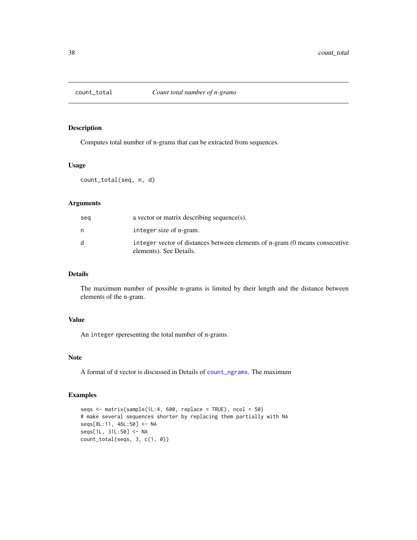<span id="page-37-0"></span>

Computes total number of n-grams that can be extracted from sequences.

# Usage

count\_total(seq, n, d)

# Arguments

| sea | a vector or matrix describing sequence(s).                                                             |
|-----|--------------------------------------------------------------------------------------------------------|
| n   | integer size of n-gram.                                                                                |
| d   | integer vector of distances between elements of n-gram (0 means consecutive<br>elements). See Details. |

# Details

The maximum number of possible n-grams is limited by their length and the distance between elements of the n-gram.

# Value

An integer rperesenting the total number of n-grams.

#### Note

A format of d vector is discussed in Details of [count\\_ngrams](#page-34-1). The maximum

```
seqs <- matrix(sample(1L:4, 600, replace = TRUE), ncol = 50)
# make several sequences shorter by replacing them partially with NA
seqs[8L:11, 46L:50] <- NA
seqs[1L, 31L:50] <- NA
count_total(seqs, 3, c(1, 0))
```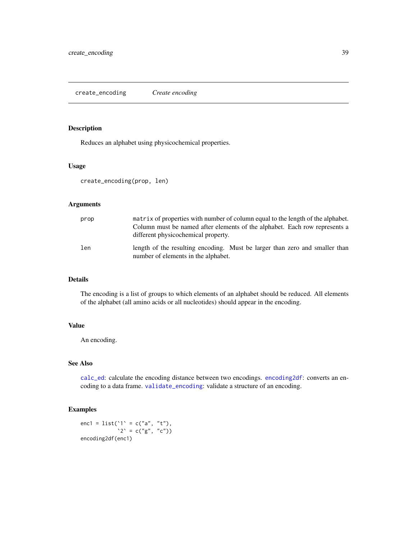<span id="page-38-0"></span>Reduces an alphabet using physicochemical properties.

# Usage

```
create_encoding(prop, len)
```
# Arguments

| prop | matrix of properties with number of column equal to the length of the alphabet.<br>Column must be named after elements of the alphabet. Each row represents a<br>different physicochemical property. |
|------|------------------------------------------------------------------------------------------------------------------------------------------------------------------------------------------------------|
| len  | length of the resulting encoding. Must be larger than zero and smaller than<br>number of elements in the alphabet.                                                                                   |

#### Details

The encoding is a list of groups to which elements of an alphabet should be reduced. All elements of the alphabet (all amino acids or all nucleotides) should appear in the encoding.

#### Value

An encoding.

#### See Also

[calc\\_ed](#page-24-1): calculate the encoding distance between two encodings. [encoding2df](#page-45-1): converts an encoding to a data frame. [validate\\_encoding](#page-65-1): validate a structure of an encoding.

# Examples

enc1 = list('1' = c("a", "t"),  $'2' = c("g", "c")$ encoding2df(enc1)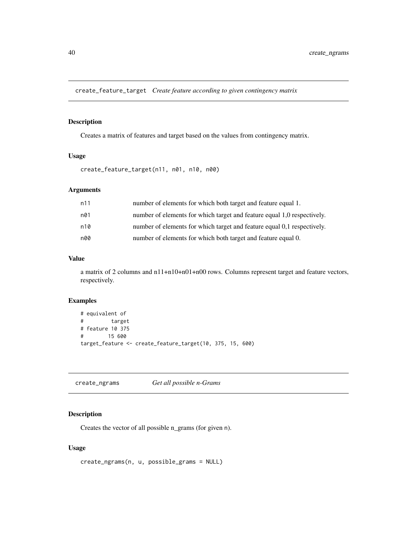<span id="page-39-0"></span>create\_feature\_target *Create feature according to given contingency matrix*

# Description

Creates a matrix of features and target based on the values from contingency matrix.

# Usage

create\_feature\_target(n11, n01, n10, n00)

# Arguments

| n11 | number of elements for which both target and feature equal 1.           |
|-----|-------------------------------------------------------------------------|
| n01 | number of elements for which target and feature equal 1,0 respectively. |
| n10 | number of elements for which target and feature equal 0,1 respectively. |
| n00 | number of elements for which both target and feature equal 0.           |

# Value

a matrix of 2 columns and n11+n10+n01+n00 rows. Columns represent target and feature vectors, respectively.

# Examples

```
# equivalent of
# target
# feature 10 375
# 15 600
target_feature <- create_feature_target(10, 375, 15, 600)
```
<span id="page-39-1"></span>create\_ngrams *Get all possible n-Grams*

# Description

Creates the vector of all possible n\_grams (for given n).

#### Usage

```
create_ngrams(n, u, possible_grams = NULL)
```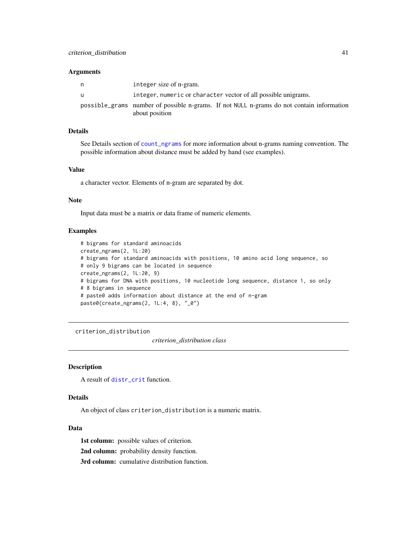#### <span id="page-40-0"></span>**Arguments**

| n | integer size of n-gram.                                                                                     |
|---|-------------------------------------------------------------------------------------------------------------|
| u | integer, numeric or character vector of all possible unigrams.                                              |
|   | possible grams number of possible n-grams. If not NULL n-grams do not contain information<br>about position |

#### Details

See Details section of [count\\_ngrams](#page-34-1) for more information about n-grams naming convention. The possible information about distance must be added by hand (see examples).

#### Value

a character vector. Elements of n-gram are separated by dot.

#### Note

Input data must be a matrix or data frame of numeric elements.

#### Examples

```
# bigrams for standard aminoacids
create_ngrams(2, 1L:20)
# bigrams for standard aminoacids with positions, 10 amino acid long sequence, so
# only 9 bigrams can be located in sequence
create_ngrams(2, 1L:20, 9)
# bigrams for DNA with positions, 10 nucleotide long sequence, distance 1, so only
# 8 bigrams in sequence
# paste0 adds information about distance at the end of n-gram
paste0(create_ngrams(2, 1L:4, 8), "_0")
```
<span id="page-40-1"></span>criterion\_distribution

*criterion\_distribution class*

# **Description**

A result of [distr\\_crit](#page-44-1) function.

#### Details

An object of class criterion\_distribution is a numeric matrix.

#### Data

1st column: possible values of criterion. 2nd column: probability density function. 3rd column: cumulative distribution function.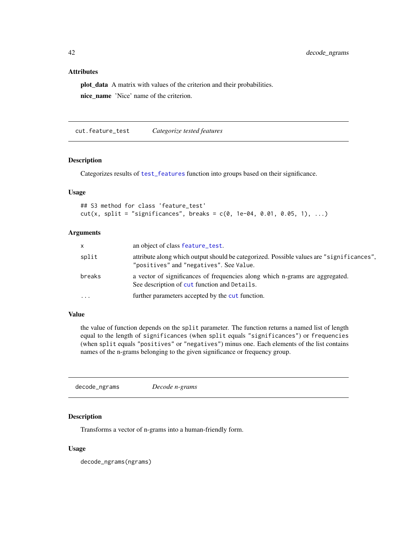# Attributes

plot\_data A matrix with values of the criterion and their probabilities. nice\_name 'Nice' name of the criterion.

<span id="page-41-2"></span>cut.feature\_test *Categorize tested features*

# Description

Categorizes results of [test\\_features](#page-63-1) function into groups based on their significance.

#### Usage

## S3 method for class 'feature\_test'  $cut(x, split = "significance's", breaks = c(0, 1e-04, 0.01, 0.05, 1), ...)$ 

# Arguments

| x      | an object of class feature_test.                                                                                                    |
|--------|-------------------------------------------------------------------------------------------------------------------------------------|
| split  | attribute along which output should be categorized. Possible values are "significances",<br>"positives" and "negatives". See Value. |
| breaks | a vector of significances of frequencies along which n-grams are aggregated.<br>See description of cut function and Details.        |
| .      | further parameters accepted by the cut function.                                                                                    |

# Value

the value of function depends on the split parameter. The function returns a named list of length equal to the length of significances (when split equals "significances") or frequencies (when split equals "positives" or "negatives") minus one. Each elements of the list contains names of the n-grams belonging to the given significance or frequency group.

<span id="page-41-1"></span>decode\_ngrams *Decode n-grams*

### Description

Transforms a vector of n-grams into a human-friendly form.

#### Usage

decode\_ngrams(ngrams)

<span id="page-41-0"></span>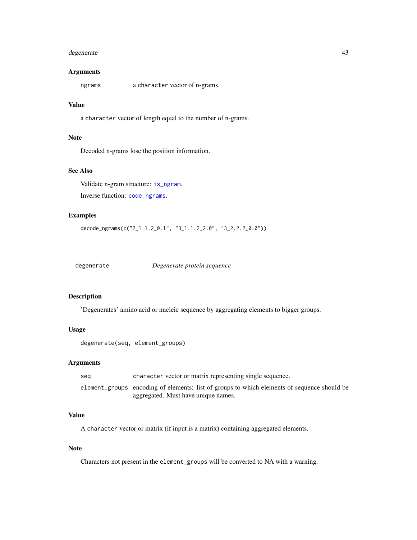# <span id="page-42-0"></span>degenerate 43

#### Arguments

ngrams a character vector of n-grams.

# Value

a character vector of length equal to the number of n-grams.

#### Note

Decoded n-grams lose the position information.

# See Also

Validate n-gram structure: [is\\_ngram](#page-53-1).

Inverse function: [code\\_ngrams](#page-31-1).

#### Examples

decode\_ngrams(c("2\_1.1.2\_0.1", "3\_1.1.2\_2.0", "3\_2.2.2\_0.0"))

<span id="page-42-1"></span>degenerate *Degenerate protein sequence*

#### Description

'Degenerates' amino acid or nucleic sequence by aggregating elements to bigger groups.

# Usage

degenerate(seq, element\_groups)

# Arguments

| seg | character vector or matrix representing single sequence.                                    |
|-----|---------------------------------------------------------------------------------------------|
|     | element_groups encoding of elements: list of groups to which elements of sequence should be |
|     | aggregated. Must have unique names.                                                         |

# Value

A character vector or matrix (if input is a matrix) containing aggregated elements.

#### Note

Characters not present in the element\_groups will be converted to NA with a warning.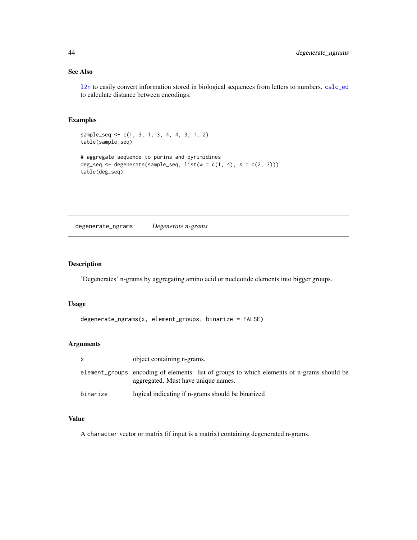# See Also

[l2n](#page-53-2) to easily convert information stored in biological sequences from letters to numbers. [calc\\_ed](#page-24-1) to calculate distance between encodings.

# Examples

```
sample_seq <- c(1, 3, 1, 3, 4, 4, 3, 1, 2)
table(sample_seq)
# aggregate sequence to purins and pyrimidines
deg_seq <- degenerate(sample_seq, list(w = c(1, 4), s = c(2, 3)))table(deg_seq)
```
degenerate\_ngrams *Degenerate n-grams*

#### Description

'Degenerates' n-grams by aggregating amino acid or nucleotide elements into bigger groups.

# Usage

```
degenerate_ngrams(x, element_groups, binarize = FALSE)
```
# Arguments

| $\mathsf{x}$ | object containing n-grams.                                                                                                        |
|--------------|-----------------------------------------------------------------------------------------------------------------------------------|
|              | element_groups encoding of elements: list of groups to which elements of n-grams should be<br>aggregated. Must have unique names. |
| binarize     | logical indicating if n-grams should be binarized                                                                                 |

#### Value

A character vector or matrix (if input is a matrix) containing degenerated n-grams.

<span id="page-43-0"></span>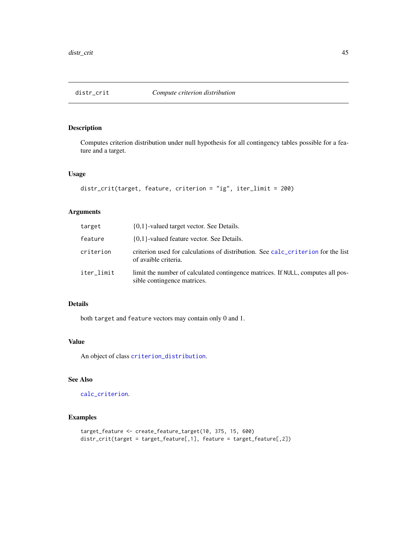<span id="page-44-1"></span><span id="page-44-0"></span>

Computes criterion distribution under null hypothesis for all contingency tables possible for a feature and a target.

#### Usage

```
distr_crit(target, feature, criterion = "ig", iter_limit = 200)
```
#### Arguments

| target     | $\{0,1\}$ -valued target vector. See Details.                                                                  |
|------------|----------------------------------------------------------------------------------------------------------------|
| feature    | $\{0,1\}$ -valued feature vector. See Details.                                                                 |
| criterion  | criterion used for calculations of distribution. See calc_criterion for the list<br>of avaible criteria.       |
| iter limit | limit the number of calculated contingence matrices. If NULL, computes all pos-<br>sible contingence matrices. |

# Details

both target and feature vectors may contain only 0 and 1.

# Value

An object of class [criterion\\_distribution](#page-40-1).

# See Also

[calc\\_criterion](#page-22-1).

```
target_feature <- create_feature_target(10, 375, 15, 600)
distr_crit(target = target_feature[,1], feature = target_feature[,2])
```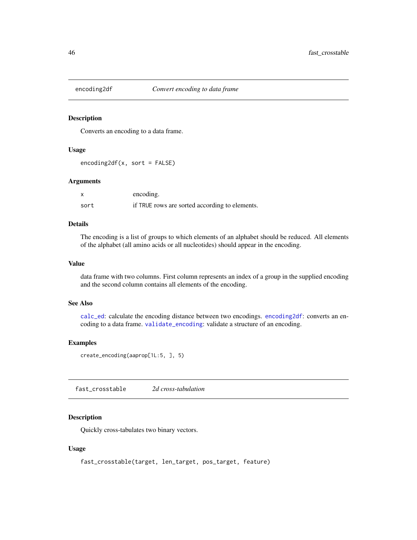<span id="page-45-1"></span><span id="page-45-0"></span>

Converts an encoding to a data frame.

# Usage

encoding2df(x, sort = FALSE)

#### Arguments

|      | encoding.                                      |
|------|------------------------------------------------|
| sort | if TRUE rows are sorted according to elements. |

# Details

The encoding is a list of groups to which elements of an alphabet should be reduced. All elements of the alphabet (all amino acids or all nucleotides) should appear in the encoding.

# Value

data frame with two columns. First column represents an index of a group in the supplied encoding and the second column contains all elements of the encoding.

#### See Also

[calc\\_ed](#page-24-1): calculate the encoding distance between two encodings. [encoding2df](#page-45-1): converts an encoding to a data frame. [validate\\_encoding](#page-65-1): validate a structure of an encoding.

#### Examples

```
create_encoding(aaprop[1L:5, ], 5)
```
fast\_crosstable *2d cross-tabulation*

#### Description

Quickly cross-tabulates two binary vectors.

#### Usage

```
fast_crosstable(target, len_target, pos_target, feature)
```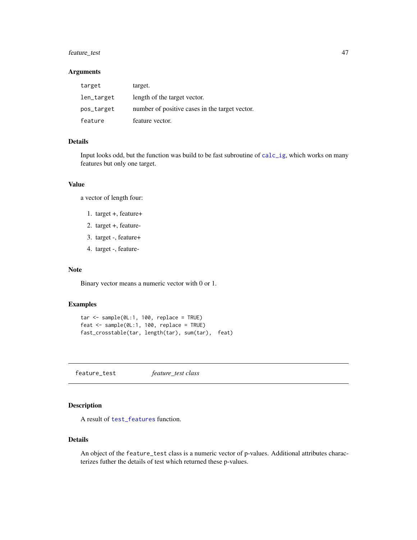# <span id="page-46-0"></span>feature\_test 47

# Arguments

| target     | target.                                        |
|------------|------------------------------------------------|
| len_target | length of the target vector.                   |
| pos_target | number of positive cases in the target vector. |
| feature    | feature vector.                                |

# Details

Input looks odd, but the function was build to be fast subroutine of [calc\\_ig](#page-25-1), which works on many features but only one target.

# Value

a vector of length four:

- 1. target +, feature+
- 2. target +, feature-
- 3. target -, feature+
- 4. target -, feature-

# Note

Binary vector means a numeric vector with 0 or 1.

# Examples

```
tar <- sample(0L:1, 100, replace = TRUE)
feat <- sample(0L:1, 100, replace = TRUE)
fast_crosstable(tar, length(tar), sum(tar), feat)
```
<span id="page-46-1"></span>feature\_test *feature\_test class*

# Description

A result of [test\\_features](#page-63-1) function.

#### Details

An object of the feature\_test class is a numeric vector of p-values. Additional attributes characterizes futher the details of test which returned these p-values.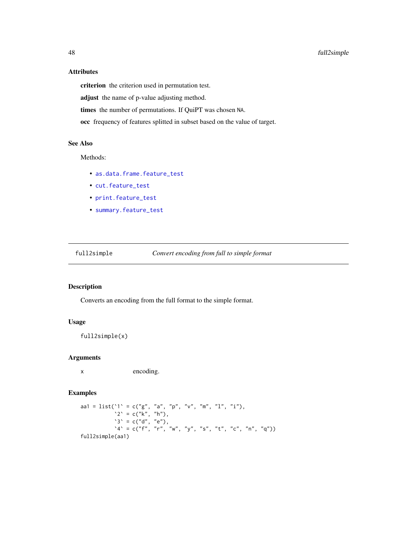# Attributes

criterion the criterion used in permutation test.

adjust the name of p-value adjusting method.

times the number of permutations. If QuiPT was chosen NA.

occ frequency of features splitted in subset based on the value of target.

# See Also

Methods:

- [as.data.frame.feature\\_test](#page-21-1)
- [cut.feature\\_test](#page-41-2)
- [print.feature\\_test](#page-58-1)
- [summary.feature\\_test](#page-62-1)

full2simple *Convert encoding from full to simple format*

# Description

Converts an encoding from the full format to the simple format.

# Usage

full2simple(x)

#### Arguments

x encoding.

```
aa1 = list('1' = c("g", "a", "p", "v", "m", "1", "i"),2^{\circ} = c("k", "h"),
           's' = c("d", "e"),A' = c("f", "r", "w", "y", "s", "t", "c", "n", "q"))full2simple(aa1)
```
<span id="page-47-0"></span>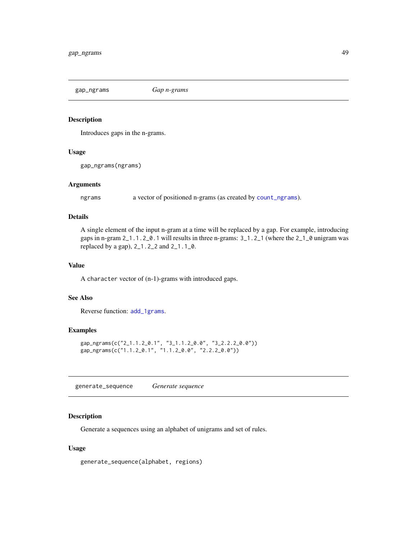<span id="page-48-1"></span><span id="page-48-0"></span>gap\_ngrams *Gap n-grams*

# **Description**

Introduces gaps in the n-grams.

#### Usage

gap\_ngrams(ngrams)

# Arguments

ngrams a vector of positioned n-grams (as created by [count\\_ngrams](#page-34-1)).

# Details

A single element of the input n-gram at a time will be replaced by a gap. For example, introducing gaps in n-gram 2\_1.1.2\_0.1 will results in three n-grams: 3\_1.2\_1 (where the 2\_1\_0 unigram was replaced by a gap), 2\_1.2\_2 and 2\_1.1\_0.

#### Value

A character vector of (n-1)-grams with introduced gaps.

#### See Also

Reverse function: [add\\_1grams](#page-20-1).

# Examples

```
gap_ngrams(c("2_1.1.2_0.1", "3_1.1.2_0.0", "3_2.2.2_0.0"))
gap_ngrams(c("1.1.2_0.1", "1.1.2_0.0", "2.2.2_0.0"))
```
<span id="page-48-2"></span>generate\_sequence *Generate sequence*

# Description

Generate a sequences using an alphabet of unigrams and set of rules.

#### Usage

generate\_sequence(alphabet, regions)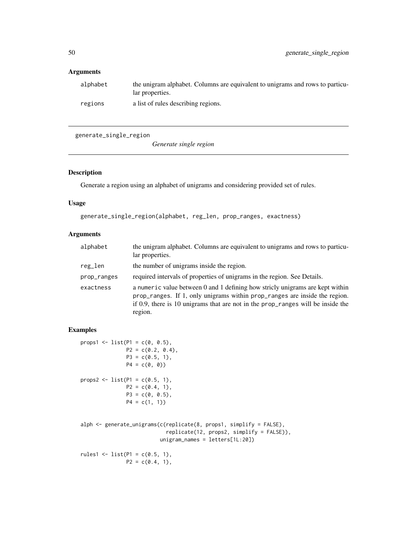# <span id="page-49-0"></span>Arguments

| alphabet | the unigram alphabet. Columns are equivalent to unigrams and rows to particu-<br>lar properties. |
|----------|--------------------------------------------------------------------------------------------------|
| regions  | a list of rules describing regions.                                                              |

generate\_single\_region

*Generate single region*

# Description

Generate a region using an alphabet of unigrams and considering provided set of rules.

# Usage

```
generate_single_region(alphabet, reg_len, prop_ranges, exactness)
```
# Arguments

| alphabet    | the unigram alphabet. Columns are equivalent to unigrams and rows to particu-<br>lar properties.                                                                                                                                                           |
|-------------|------------------------------------------------------------------------------------------------------------------------------------------------------------------------------------------------------------------------------------------------------------|
| reg_len     | the number of unigrams inside the region.                                                                                                                                                                                                                  |
| prop_ranges | required intervals of properties of unigrams in the region. See Details.                                                                                                                                                                                   |
| exactness   | a numeric value between 0 and 1 defining how strictly unigrams are kept within<br>prop_ranges. If 1, only unigrams within prop_ranges are inside the region.<br>if 0.9, there is 10 unigrams that are not in the prop_ranges will be inside the<br>region. |

```
props1 <- list(P1 = c(0, 0.5),
              P2 = c(0.2, 0.4),P3 = c(0.5, 1),P4 = c(0, 0)props2 <- list(P1 = c(0.5, 1),
              P2 = c(0.4, 1),P3 = c(0, 0.5),
              P4 = c(1, 1)alph <- generate_unigrams(c(replicate(8, props1, simplify = FALSE),
                           replicate(12, props2, simplify = FALSE)),
                         unigram_names = letters[1L:20])
rules1 <- list(P1 = c(0.5, 1),
              P2 = c(0.4, 1),
```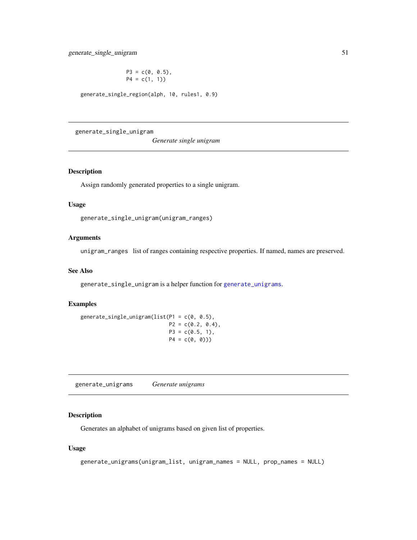$P3 = c(0, 0.5)$ ,  $P4 = c(1, 1)$ 

<span id="page-50-0"></span>generate\_single\_region(alph, 10, rules1, 0.9)

generate\_single\_unigram

*Generate single unigram*

#### Description

Assign randomly generated properties to a single unigram.

#### Usage

generate\_single\_unigram(unigram\_ranges)

#### Arguments

unigram\_ranges list of ranges containing respective properties. If named, names are preserved.

#### See Also

generate\_single\_unigram is a helper function for [generate\\_unigrams](#page-50-1).

# Examples

generate\_single\_unigram(list(P1 = c(0, 0.5),  $P2 = c(0.2, 0.4),$  $P3 = c(0.5, 1),$  $P4 = c(0, 0))$ 

<span id="page-50-1"></span>generate\_unigrams *Generate unigrams*

# Description

Generates an alphabet of unigrams based on given list of properties.

#### Usage

```
generate_unigrams(unigram_list, unigram_names = NULL, prop_names = NULL)
```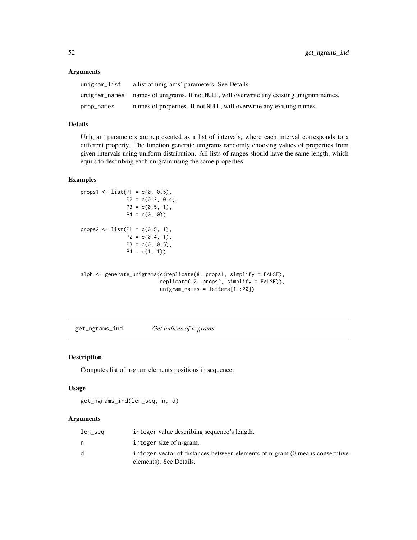# Arguments

| unigram_list  | a list of unigrams' parameters. See Details.                               |
|---------------|----------------------------------------------------------------------------|
| unigram_names | names of unigrams. If not NULL, will overwrite any existing unigram names. |
| prop_names    | names of properties. If not NULL, will overwrite any existing names.       |

# Details

Unigram parameters are represented as a list of intervals, where each interval corresponds to a different property. The function generate unigrams randomly choosing values of properties from given intervals using uniform distribution. All lists of ranges should have the same length, which equils to describing each unigram using the same properties.

#### Examples

```
props1 <- list(P1 = c(0, 0.5),
              P2 = c(0.2, 0.4),P3 = c(0.5, 1),P4 = c(0, 0)props2 <- list(P1 = c(0.5, 1),
              P2 = c(0.4, 1),P3 = c(0, 0.5),
              P4 = c(1, 1)
```

```
alph <- generate_unigrams(c(replicate(8, props1, simplify = FALSE),
                          replicate(12, props2, simplify = FALSE)),
                          unigram_names = letters[1L:20])
```
<span id="page-51-1"></span>get\_ngrams\_ind *Get indices of n-grams*

#### Description

Computes list of n-gram elements positions in sequence.

#### Usage

get\_ngrams\_ind(len\_seq, n, d)

#### Arguments

| len_seq | integer value describing sequence's length.                                                            |
|---------|--------------------------------------------------------------------------------------------------------|
|         | integer size of n-gram.                                                                                |
|         | integer vector of distances between elements of n-gram (0 means consecutive<br>elements). See Details. |

<span id="page-51-0"></span>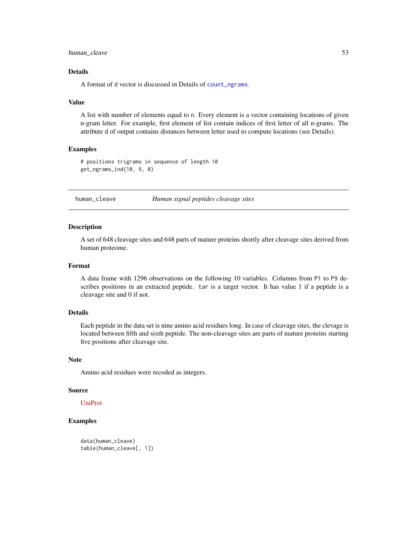<span id="page-52-0"></span>human\_cleave 53

#### Details

A format of d vector is discussed in Details of [count\\_ngrams](#page-34-1).

#### Value

A list with number of elements equal to n. Every element is a vector containing locations of given n-gram letter. For example, first element of list contain indices of first letter of all n-grams. The attribute d of output contains distances between letter used to compute locations (see Details).

#### Examples

# positions trigrams in sequence of length 10 get\_ngrams\_ind(10, 9, 0)

human\_cleave *Human signal peptides cleavage sites*

#### **Description**

A set of 648 cleavage sites and 648 parts of mature proteins shortly after cleavage sites derived from human proteome.

# Format

A data frame with 1296 observations on the following 10 variables. Columns from P1 to P9 describes positions in an extracted peptide. tar is a target vector. It has value 1 if a peptide is a cleavage site and 0 if not.

#### Details

Each peptide in the data set is nine amino acid residues long. In case of cleavage sites, the clevage is located between fifth and sixth peptide. The non-cleavage sites are parts of mature proteins starting five positions after cleavage site.

#### Note

Amino acid residues were recoded as integers.

#### Source

#### [UniProt](http://www.uniprot.org/)

```
data(human_cleave)
table(human_cleave[, 1])
```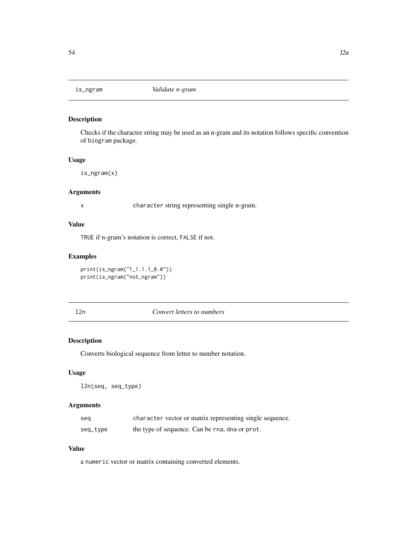<span id="page-53-1"></span><span id="page-53-0"></span>

Checks if the character string may be used as an n-gram and its notation follows specific convention of biogram package.

#### Usage

is\_ngram(x)

#### Arguments

x character string representing single n-gram.

#### Value

TRUE if n-gram's notation is correct, FALSE if not.

## Examples

print(is\_ngram("1\_1.1.1\_0.0")) print(is\_ngram("not\_ngram"))

<span id="page-53-2"></span>l2n *Convert letters to numbers*

# Description

Converts biological sequence from letter to number notation.

#### Usage

l2n(seq, seq\_type)

# Arguments

| seg      | character vector or matrix representing single sequence. |
|----------|----------------------------------------------------------|
| seq_type | the type of sequence. Can be rna, dna or prot.           |

#### Value

a numeric vector or matrix containing converted elements.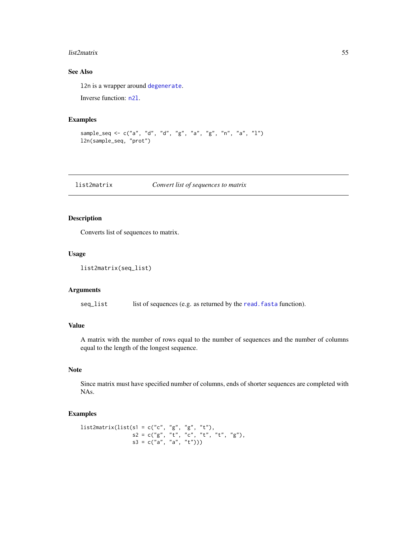#### <span id="page-54-0"></span>list2matrix 55

# See Also

l2n is a wrapper around [degenerate](#page-42-1).

Inverse function: [n2l](#page-55-1).

# Examples

sample\_seq <- c("a", "d", "d", "g", "a", "g", "n", "a", "l") l2n(sample\_seq, "prot")

list2matrix *Convert list of sequences to matrix*

# Description

Converts list of sequences to matrix.

#### Usage

```
list2matrix(seq_list)
```
#### Arguments

seq\_list list of sequences (e.g. as returned by the read. fasta function).

# Value

A matrix with the number of rows equal to the number of sequences and the number of columns equal to the length of the longest sequence.

# Note

Since matrix must have specified number of columns, ends of shorter sequences are completed with NAs.

```
list2matrix(list(s1 = c("c", "g", "g", "t"),s2 = c("g", "t", "c", "t", "t", "g"),s3 = c("a", "a", "t")))
```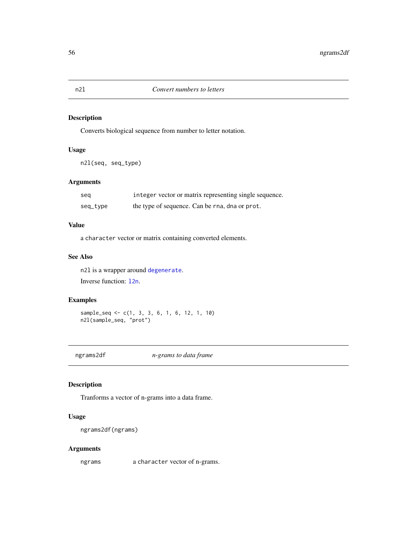Converts biological sequence from number to letter notation.

# Usage

n2l(seq, seq\_type)

# Arguments

| seg      | integer vector or matrix representing single sequence. |
|----------|--------------------------------------------------------|
| seq_type | the type of sequence. Can be rna, dna or prot.         |

# Value

a character vector or matrix containing converted elements.

# See Also

n2l is a wrapper around [degenerate](#page-42-1). Inverse function: [l2n](#page-53-2).

# Examples

sample\_seq <- c(1, 3, 3, 6, 1, 6, 12, 1, 10) n2l(sample\_seq, "prot")

ngrams2df *n-grams to data frame*

# Description

Tranforms a vector of n-grams into a data frame.

# Usage

ngrams2df(ngrams)

# Arguments

ngrams a character vector of n-grams.

<span id="page-55-1"></span><span id="page-55-0"></span>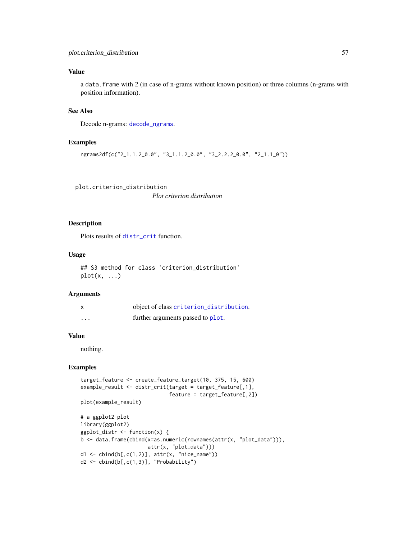# <span id="page-56-0"></span>Value

a data.frame with 2 (in case of n-grams without known position) or three columns (n-grams with position information).

# See Also

Decode n-grams: [decode\\_ngrams](#page-41-1).

#### Examples

ngrams2df(c("2\_1.1.2\_0.0", "3\_1.1.2\_0.0", "3\_2.2.2\_0.0", "2\_1.1\_0"))

plot.criterion\_distribution

*Plot criterion distribution*

#### Description

Plots results of [distr\\_crit](#page-44-1) function.

# Usage

## S3 method for class 'criterion\_distribution'  $plot(x, \ldots)$ 

# Arguments

| x                 | object of class criterion_distribution. |
|-------------------|-----------------------------------------|
| $\cdot\cdot\cdot$ | further arguments passed to plot.       |

#### Value

nothing.

```
target_feature <- create_feature_target(10, 375, 15, 600)
example_result <- distr_crit(target = target_feature[,1],
                              feature = target_feature[,2])
plot(example_result)
# a ggplot2 plot
library(ggplot2)
ggplot_distr <- function(x) {
b <- data.frame(cbind(x=as.numeric(rownames(attr(x, "plot_data"))),
                      attr(x, "plot_data")))
d1 \leftarrow \text{cbind}(b[, c(1,2)], \text{attr}(x, 'nice_name'))d2 <- cbind(b[,c(1,3)], "Probability")
```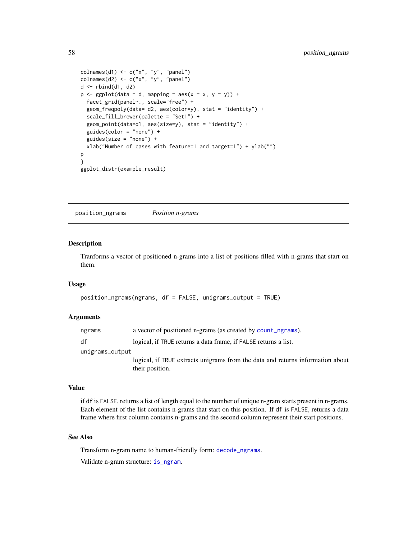```
colnames(d1) \leq c("x", "y", "panel")
\text{colnames}(d2) \leq c("x", "y", "panel")d <- rbind(d1, d2)
p \leq - ggplot(data = d, mapping = aes(x = x, y = y)) +
 facet_grid(panel~., scale="free") +
 geom_freqpoly(data= d2, aes(color=y), stat = "identity") +
 scale_fill_brewer(palette = "Set1") +
 geom_point(data=d1, aes(size=y), stat = "identity") +
 guides(color = "none") +
 guides(size = "none") +
 xlab("Number of cases with feature=1 and target=1") + ylab("")
p
}
ggplot_distr(example_result)
```
position\_ngrams *Position n-grams*

# Description

Tranforms a vector of positioned n-grams into a list of positions filled with n-grams that start on them.

#### Usage

```
position_ngrams(ngrams, df = FALSE, unigrams_output = TRUE)
```
#### Arguments

| ngrams          | a vector of positioned n-grams (as created by count_ngrams).                                      |  |
|-----------------|---------------------------------------------------------------------------------------------------|--|
| df              | logical, if TRUE returns a data frame, if FALSE returns a list.                                   |  |
| unigrams_output |                                                                                                   |  |
|                 | logical, if TRUE extracts unigrams from the data and returns information about<br>their position. |  |

#### Value

if df is FALSE, returns a list of length equal to the number of unique n-gram starts present in n-grams. Each element of the list contains n-grams that start on this position. If df is FALSE, returns a data frame where first column contains n-grams and the second column represent their start positions.

#### See Also

Transform n-gram name to human-friendly form: [decode\\_ngrams](#page-41-1).

Validate n-gram structure: [is\\_ngram](#page-53-1).

<span id="page-57-0"></span>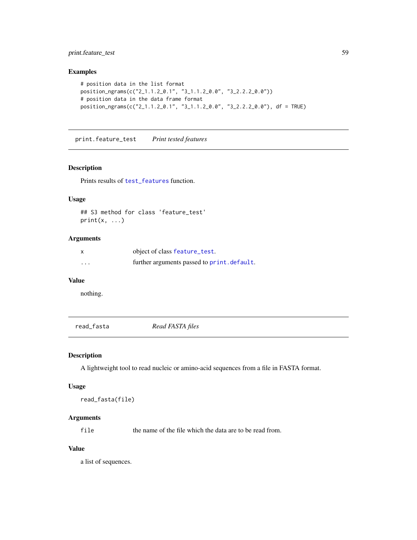# <span id="page-58-0"></span>print.feature\_test 59

# Examples

```
# position data in the list format
position_ngrams(c("2_1.1.2_0.1", "3_1.1.2_0.0", "3_2.2.2_0.0"))
# position data in the data frame format
position_ngrams(c("2_1.1.2_0.1", "3_1.1.2_0.0", "3_2.2.2_0.0"), df = TRUE)
```
<span id="page-58-1"></span>print.feature\_test *Print tested features*

# Description

Prints results of [test\\_features](#page-63-1) function.

# Usage

```
## S3 method for class 'feature_test'
print(x, \ldots)
```
# Arguments

|          | object of class feature_test.               |
|----------|---------------------------------------------|
| $\cdots$ | further arguments passed to print. default. |

#### Value

nothing.

read\_fasta *Read FASTA files*

#### Description

A lightweight tool to read nucleic or amino-acid sequences from a file in FASTA format.

#### Usage

```
read_fasta(file)
```
# Arguments

file the name of the file which the data are to be read from.

#### Value

a list of sequences.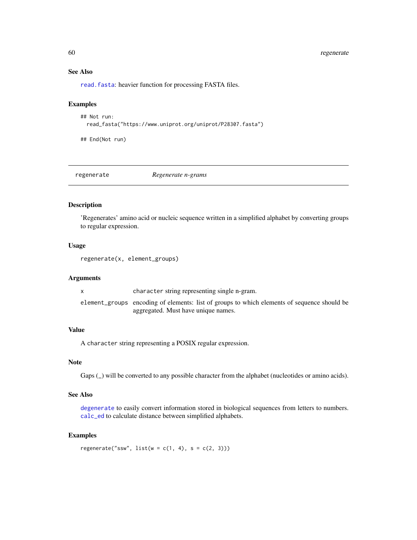# <span id="page-59-0"></span>60 regenerate

# See Also

[read.fasta](#page-0-0): heavier function for processing FASTA files.

#### Examples

```
## Not run:
 read_fasta("https://www.uniprot.org/uniprot/P28307.fasta")
```
## End(Not run)

regenerate *Regenerate n-grams*

#### Description

'Regenerates' amino acid or nucleic sequence written in a simplified alphabet by converting groups to regular expression.

#### Usage

regenerate(x, element\_groups)

# Arguments

| character string representing single n-gram.                                                |
|---------------------------------------------------------------------------------------------|
| element_groups encoding of elements: list of groups to which elements of sequence should be |
| aggregated. Must have unique names.                                                         |

# Value

A character string representing a POSIX regular expression.

# Note

Gaps ( $\Box$ ) will be converted to any possible character from the alphabet (nucleotides or amino acids).

# See Also

[degenerate](#page-42-1) to easily convert information stored in biological sequences from letters to numbers. [calc\\_ed](#page-24-1) to calculate distance between simplified alphabets.

# Examples

 $regenerate("ssw", list(w = c(1, 4), s = c(2, 3)))$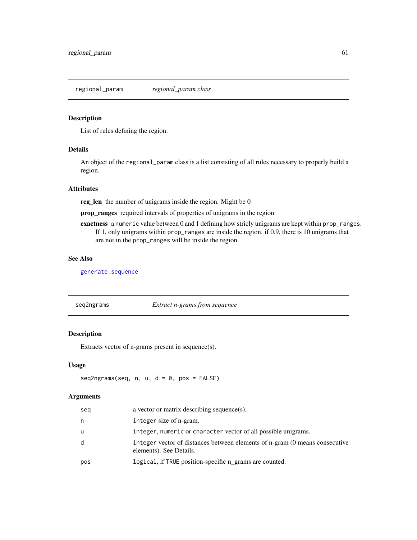<span id="page-60-0"></span>regional\_param *regional\_param class*

#### Description

List of rules defining the region.

# Details

An object of the regional\_param class is a list consisting of all rules necessary to properly build a region.

# **Attributes**

reg\_len the number of unigrams inside the region. Might be 0

prop\_ranges required intervals of properties of unigrams in the region

exactness a numeric value between 0 and 1 defining how stricly unigrams are kept within prop\_ranges. If 1, only unigrams within prop\_ranges are inside the region. if 0.9, there is 10 unigrams that are not in the prop\_ranges will be inside the region.

# See Also

[generate\\_sequence](#page-48-2)

<span id="page-60-1"></span>seq2ngrams *Extract n-grams from sequence*

# Description

Extracts vector of n-grams present in sequence(s).

#### Usage

 $seq2ngrams(seq, n, u, d = 0, pos = FALSE)$ 

#### Arguments

| seg | a vector or matrix describing sequence(s).                                                             |
|-----|--------------------------------------------------------------------------------------------------------|
| n   | integer size of n-gram.                                                                                |
| u   | integer, numeric or character vector of all possible unigrams.                                         |
| d   | integer vector of distances between elements of n-gram (0 means consecutive<br>elements). See Details. |
| pos | logical, if TRUE position-specific n_grams are counted.                                                |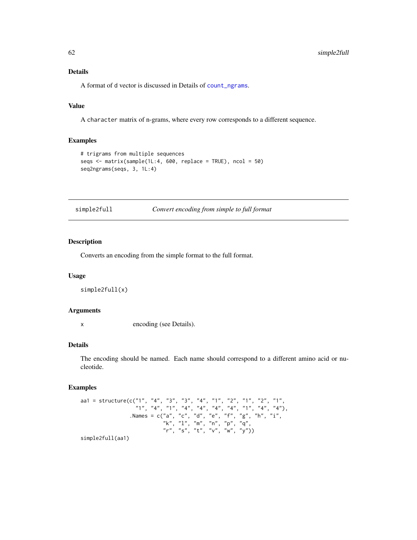# Details

A format of d vector is discussed in Details of [count\\_ngrams](#page-34-1).

# Value

A character matrix of n-grams, where every row corresponds to a different sequence.

#### Examples

```
# trigrams from multiple sequences
seqs <- matrix(sample(1L:4, 600, replace = TRUE), ncol = 50)
seq2ngrams(seqs, 3, 1L:4)
```
simple2full *Convert encoding from simple to full format*

# Description

Converts an encoding from the simple format to the full format.

#### Usage

```
simple2full(x)
```
#### Arguments

x encoding (see Details).

# Details

The encoding should be named. Each name should correspond to a different amino acid or nucleotide.

# Examples

aa1 = structure(c("1", "4", "3", "3", "4", "1", "2", "1", "2", "1", "1", "4", "1", "4", "4", "4", "4", "1", "4", "4"), .Names = c("a", "c", "d", "e", "f", "g", "h", "i", "k", "l", "m", "n", "p", "q", "r", "s", "t", "v", "w", "y")) simple2full(aa1)

<span id="page-61-0"></span>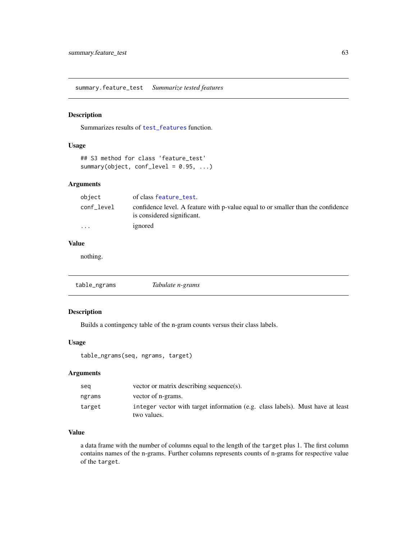<span id="page-62-1"></span><span id="page-62-0"></span>summary.feature\_test *Summarize tested features*

#### Description

Summarizes results of [test\\_features](#page-63-1) function.

# Usage

```
## S3 method for class 'feature_test'
summary(object, conf_level = 0.95, ...)
```
# Arguments

| object                  | of class feature_test.                                                                                         |
|-------------------------|----------------------------------------------------------------------------------------------------------------|
| conf_level              | confidence level. A feature with p-value equal to or smaller than the confidence<br>is considered significant. |
| $\cdot$ $\cdot$ $\cdot$ | ignored                                                                                                        |

# Value

nothing.

| table_ngrams | Tabulate n-grams |  |
|--------------|------------------|--|
|--------------|------------------|--|

# Description

Builds a contingency table of the n-gram counts versus their class labels.

# Usage

table\_ngrams(seq, ngrams, target)

# Arguments

| seg    | vector or matrix describing sequence(s).                                                      |
|--------|-----------------------------------------------------------------------------------------------|
| ngrams | vector of n-grams.                                                                            |
| target | integer vector with target information (e.g. class labels). Must have at least<br>two values. |

# Value

a data frame with the number of columns equal to the length of the target plus 1. The first column contains names of the n-grams. Further columns represents counts of n-grams for respective value of the target.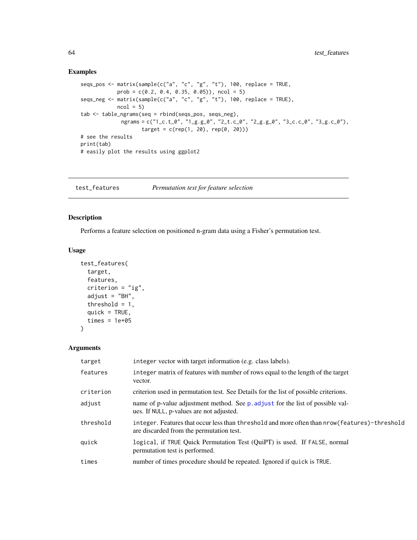#### Examples

```
seqs_pos <- matrix(sample(c("a", "c", "g", "t"), 100, replace = TRUE,
          prob = c(0.2, 0.4, 0.35, 0.05), ncol = 5)
seqs_neg <- matrix(sample(c("a", "c", "g", "t"), 100, replace = TRUE),
           ncol = 5tab <- table_ngrams(seq = rbind(seqs_pos, seqs_neg),
             ngrams = c("1_c.t_0", "1_g.g_0", "2_t.c_0", "2_g.g_0", "3_c.c_0", "3_g.c_0"),
                   target = c(rep(1, 20), rep(0, 20)))# see the results
print(tab)
# easily plot the results using ggplot2
```
<span id="page-63-1"></span>test\_features *Permutation test for feature selection*

# Description

Performs a feature selection on positioned n-gram data using a Fisher's permutation test.

#### Usage

```
test_features(
  target,
 features,
  criterion = "ig",
  adjust = "BH",threshold = 1,
  quick = TRUE,
  times = 1e+05)
```
# Arguments

| target    | integer vector with target information (e.g. class labels).                                                                                   |
|-----------|-----------------------------------------------------------------------------------------------------------------------------------------------|
| features  | integer matrix of features with number of rows equal to the length of the target<br>vector.                                                   |
| criterion | criterion used in permutation test. See Details for the list of possible criterions.                                                          |
| adjust    | name of p-value adjustment method. See p. adjust for the list of possible val-<br>ues. If NULL, p-values are not adjusted.                    |
| threshold | integer. Features that occur less than threshold and more often than $nrow(features) - threshold$<br>are discarded from the permutation test. |
| quick     | logical, if TRUE Quick Permutation Test (QuiPT) is used. If FALSE, normal<br>permutation test is performed.                                   |
| times     | number of times procedure should be repeated. Ignored if quick is TRUE.                                                                       |

<span id="page-63-0"></span>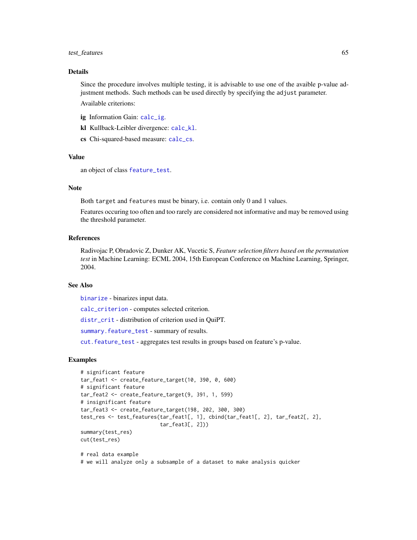#### <span id="page-64-0"></span>test\_features 65

# Details

Since the procedure involves multiple testing, it is advisable to use one of the avaible p-value adjustment methods. Such methods can be used directly by specifying the adjust parameter.

Available criterions:

- ig Information Gain: [calc\\_ig](#page-25-1).
- kl Kullback-Leibler divergence: [calc\\_kl](#page-26-1).
- cs Chi-squared-based measure: [calc\\_cs](#page-23-1).

# Value

an object of class [feature\\_test](#page-46-1).

#### **Note**

Both target and features must be binary, i.e. contain only 0 and 1 values.

Features occuring too often and too rarely are considered not informative and may be removed using the threshold parameter.

#### References

Radivojac P, Obradovic Z, Dunker AK, Vucetic S, *Feature selection filters based on the permutation test* in Machine Learning: ECML 2004, 15th European Conference on Machine Learning, Springer, 2004.

# See Also

[binarize](#page-22-2) - binarizes input data.

[calc\\_criterion](#page-22-1) - computes selected criterion.

[distr\\_crit](#page-44-1) - distribution of criterion used in QuiPT.

[summary.feature\\_test](#page-62-1) - summary of results.

[cut.feature\\_test](#page-41-2) - aggregates test results in groups based on feature's p-value.

```
# significant feature
tar_feat1 <- create_feature_target(10, 390, 0, 600)
# significant feature
tar_feat2 <- create_feature_target(9, 391, 1, 599)
# insignificant feature
tar_feat3 <- create_feature_target(198, 202, 300, 300)
test_res <- test_features(tar_feat1[, 1], cbind(tar_feat1[, 2], tar_feat2[, 2],
                          tar_feat3[, 2]))
summary(test_res)
cut(test_res)
# real data example
# we will analyze only a subsample of a dataset to make analysis quicker
```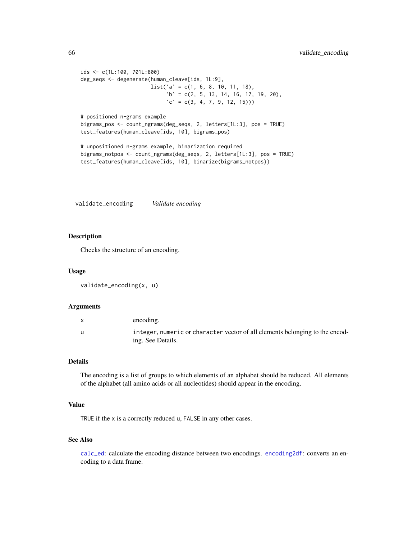```
ids <- c(1L:100, 701L:800)
deg_seqs <- degenerate(human_cleave[ids, 1L:9],
                       list('a' = c(1, 6, 8, 10, 11, 18),b' = c(2, 5, 13, 14, 16, 17, 19, 20),\text{'c'} = \text{c}(3, 4, 7, 9, 12, 15))# positioned n-grams example
bigrams_pos <- count_ngrams(deg_seqs, 2, letters[1L:3], pos = TRUE)
test_features(human_cleave[ids, 10], bigrams_pos)
# unpositioned n-grams example, binarization required
bigrams_notpos <- count_ngrams(deg_seqs, 2, letters[1L:3], pos = TRUE)
test_features(human_cleave[ids, 10], binarize(bigrams_notpos))
```
<span id="page-65-1"></span>validate\_encoding *Validate encoding*

# **Description**

Checks the structure of an encoding.

#### Usage

```
validate_encoding(x, u)
```
#### Arguments

| encoding.                                                                                         |
|---------------------------------------------------------------------------------------------------|
| integer, numeric or character vector of all elements belonging to the encod-<br>ing. See Details. |

#### Details

The encoding is a list of groups to which elements of an alphabet should be reduced. All elements of the alphabet (all amino acids or all nucleotides) should appear in the encoding.

#### Value

TRUE if the x is a correctly reduced u, FALSE in any other cases.

# See Also

[calc\\_ed](#page-24-1): calculate the encoding distance between two encodings. [encoding2df](#page-45-1): converts an encoding to a data frame.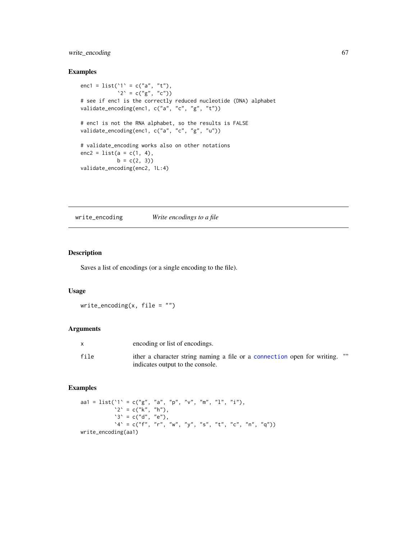# <span id="page-66-0"></span>write\_encoding 67

# Examples

```
enc1 = list('1' = c("a", "t"),'2' = c("g", "c")# see if enc1 is the correctly reduced nucleotide (DNA) alphabet
validate_encoding(enc1, c("a", "c", "g", "t"))
# enc1 is not the RNA alphabet, so the results is FALSE
validate_encoding(enc1, c("a", "c", "g", "u"))
# validate_encoding works also on other notations
enc2 = list(a = c(1, 4),b = c(2, 3)validate_encoding(enc2, 1L:4)
```
write\_encoding *Write encodings to a file*

#### Description

Saves a list of encodings (or a single encoding to the file).

# Usage

```
write_encoding(x, file = ")
```
#### Arguments

|      | encoding or list of encodings.                                                   |
|------|----------------------------------------------------------------------------------|
| file | ,,,,<br>ither a character string naming a file or a connection open for writing. |
|      | indicates output to the console.                                                 |

```
aa1 = list('1' = c("g", "a", "p", "v", "m", "l", "i"),
           2^{\circ} = c("k", "h"),
           3' = c("d", "e"),A' = c("f", "r", "w", "y", "s", "t", "c", "n", "q"))write_encoding(aa1)
```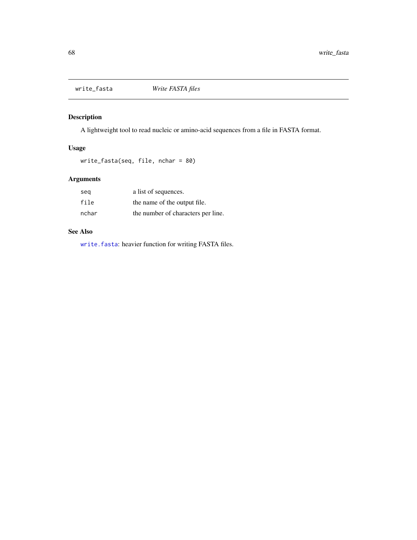<span id="page-67-0"></span>

A lightweight tool to read nucleic or amino-acid sequences from a file in FASTA format.

# Usage

```
write_fasta(seq, file, nchar = 80)
```
# Arguments

| seg   | a list of sequences.               |
|-------|------------------------------------|
| file  | the name of the output file.       |
| nchar | the number of characters per line. |

# See Also

[write.fasta](#page-0-0): heavier function for writing FASTA files.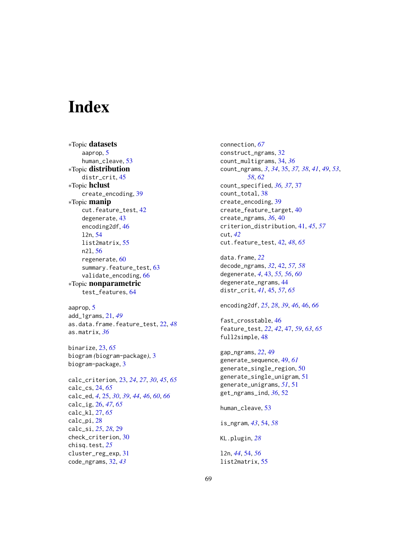# <span id="page-68-0"></span>**Index**

∗Topic datasets aaprop, [5](#page-4-0) human\_cleave, [53](#page-52-0) ∗Topic distribution distr\_crit, [45](#page-44-0) ∗Topic hclust create\_encoding, [39](#page-38-0) ∗Topic manip cut.feature\_test, [42](#page-41-0) degenerate, [43](#page-42-0) encoding2df, [46](#page-45-0) l2n, [54](#page-53-0) list2matrix, [55](#page-54-0) n2l, [56](#page-55-0) regenerate, [60](#page-59-0) summary.feature\_test, [63](#page-62-0) validate\_encoding, [66](#page-65-0) ∗Topic nonparametric test\_features, [64](#page-63-0)

aaprop, [5](#page-4-0) add\_1grams, [21,](#page-20-0) *[49](#page-48-0)* as.data.frame.feature\_test, [22,](#page-21-0) *[48](#page-47-0)* as.matrix, *[36](#page-35-0)*

binarize, [23,](#page-22-0) *[65](#page-64-0)* biogram *(*biogram-package*)*, [3](#page-2-0) biogram-package, [3](#page-2-0)

calc\_criterion, [23,](#page-22-0) *[24](#page-23-0)*, *[27](#page-26-0)*, *[30](#page-29-0)*, *[45](#page-44-0)*, *[65](#page-64-0)* calc\_cs, [24,](#page-23-0) *[65](#page-64-0)* calc\_ed, *[4](#page-3-0)*, [25,](#page-24-0) *[30](#page-29-0)*, *[39](#page-38-0)*, *[44](#page-43-0)*, *[46](#page-45-0)*, *[60](#page-59-0)*, *[66](#page-65-0)* calc\_ig, [26,](#page-25-0) *[47](#page-46-0)*, *[65](#page-64-0)* calc\_kl, [27,](#page-26-0) *[65](#page-64-0)* calc\_pi, [28](#page-27-0) calc\_si, *[25](#page-24-0)*, *[28](#page-27-0)*, [29](#page-28-0) check\_criterion, [30](#page-29-0) chisq.test, *[25](#page-24-0)* cluster\_reg\_exp, [31](#page-30-0) code\_ngrams, [32,](#page-31-0) *[43](#page-42-0)*

connection, *[67](#page-66-0)* construct\_ngrams, [32](#page-31-0) count\_multigrams, [34,](#page-33-0) *[36](#page-35-0)* count\_ngrams, *[3](#page-2-0)*, *[34](#page-33-0)*, [35,](#page-34-0) *[37,](#page-36-0) [38](#page-37-0)*, *[41](#page-40-0)*, *[49](#page-48-0)*, *[53](#page-52-0)*, *[58](#page-57-0)*, *[62](#page-61-0)* count\_specified, *[36,](#page-35-0) [37](#page-36-0)*, [37](#page-36-0) count\_total, [38](#page-37-0) create\_encoding, [39](#page-38-0) create\_feature\_target, [40](#page-39-0) create\_ngrams, *[36](#page-35-0)*, [40](#page-39-0) criterion\_distribution, [41,](#page-40-0) *[45](#page-44-0)*, *[57](#page-56-0)* cut, *[42](#page-41-0)* cut.feature\_test, [42,](#page-41-0) *[48](#page-47-0)*, *[65](#page-64-0)* data.frame, *[22](#page-21-0)*

decode\_ngrams, *[32](#page-31-0)*, [42,](#page-41-0) *[57,](#page-56-0) [58](#page-57-0)* degenerate, *[4](#page-3-0)*, [43,](#page-42-0) *[55,](#page-54-0) [56](#page-55-0)*, *[60](#page-59-0)* degenerate\_ngrams, [44](#page-43-0) distr\_crit, *[41](#page-40-0)*, [45,](#page-44-0) *[57](#page-56-0)*, *[65](#page-64-0)*

encoding2df, *[25](#page-24-0)*, *[28](#page-27-0)*, *[39](#page-38-0)*, *[46](#page-45-0)*, [46,](#page-45-0) *[66](#page-65-0)*

fast\_crosstable, [46](#page-45-0) feature\_test, *[22](#page-21-0)*, *[42](#page-41-0)*, [47,](#page-46-0) *[59](#page-58-0)*, *[63](#page-62-0)*, *[65](#page-64-0)* full2simple, [48](#page-47-0)

gap\_ngrams, *[22](#page-21-0)*, [49](#page-48-0) generate\_sequence, [49,](#page-48-0) *[61](#page-60-0)* generate\_single\_region, [50](#page-49-0) generate\_single\_unigram, [51](#page-50-0) generate\_unigrams, *[51](#page-50-0)*, [51](#page-50-0) get\_ngrams\_ind, *[36](#page-35-0)*, [52](#page-51-0)

human\_cleave, [53](#page-52-0)

is\_ngram, *[43](#page-42-0)*, [54,](#page-53-0) *[58](#page-57-0)*

KL.plugin, *[28](#page-27-0)*

l2n, *[44](#page-43-0)*, [54,](#page-53-0) *[56](#page-55-0)* list2matrix, [55](#page-54-0)